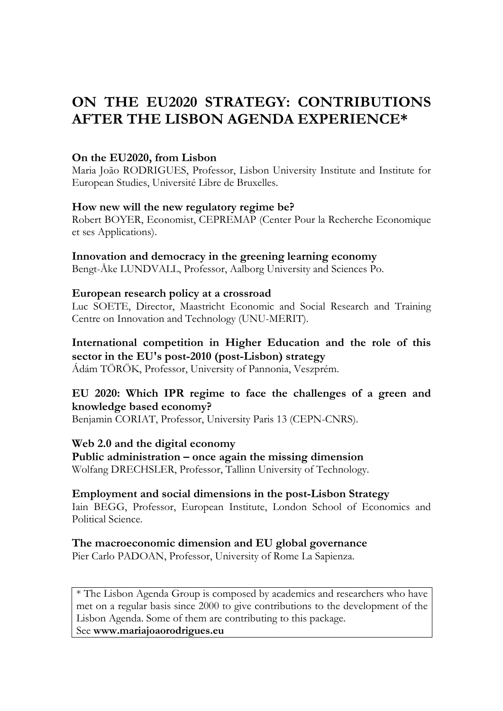# **ON THE EU2020 STRATEGY: CONTRIBUTIONS AFTER THE LISBON AGENDA EXPERIENCE\***

#### **On the EU2020, from Lisbon**

Maria João RODRIGUES, Professor, Lisbon University Institute and Institute for European Studies, Université Libre de Bruxelles.

#### **How new will the new regulatory regime be?**

Robert BOYER, Economist, CEPREMAP (Center Pour la Recherche Economique et ses Applications).

#### **Innovation and democracy in the greening learning economy**

Bengt-Åke LUNDVALL, Professor, Aalborg University and Sciences Po.

#### **European research policy at a crossroad**

Luc SOETE, Director, Maastricht Economic and Social Research and Training Centre on Innovation and Technology (UNU-MERIT).

#### **International competition in Higher Education and the role of this sector in the EU's post-2010 (post-Lisbon) strategy**

Ádám TÖRÖK, Professor, University of Pannonia, Veszprém.

# **EU 2020: Which IPR regime to face the challenges of a green and knowledge based economy?**

Benjamin CORIAT, Professor, University Paris 13 (CEPN-CNRS).

#### **Web 2.0 and the digital economy**

**Public administration – once again the missing dimension**  Wolfang DRECHSLER, Professor, Tallinn University of Technology.

#### **Employment and social dimensions in the post-Lisbon Strategy**

Iain BEGG, Professor, European Institute, London School of Economics and Political Science.

#### **The macroeconomic dimension and EU global governance**

Pier Carlo PADOAN, Professor, University of Rome La Sapienza.

\* The Lisbon Agenda Group is composed by academics and researchers who have met on a regular basis since 2000 to give contributions to the development of the Lisbon Agenda. Some of them are contributing to this package. See **www.mariajoaorodrigues.eu**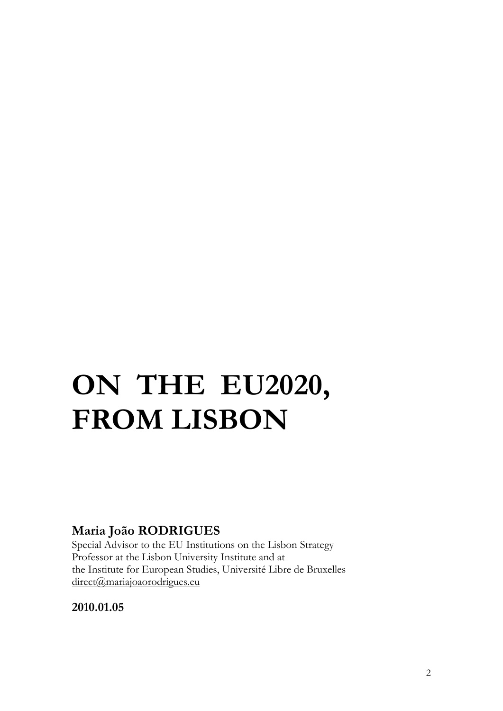# **ON THE EU2020, FROM LISBON**

# **Maria João RODRIGUES**

Special Advisor to the EU Institutions on the Lisbon Strategy Professor at the Lisbon University Institute and at the Institute for European Studies, Université Libre de Bruxelles direct@mariajoaorodrigues.eu

**2010.01.05**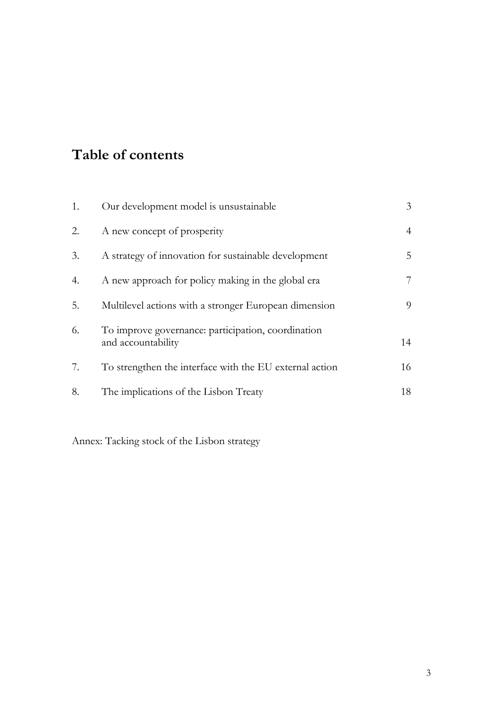# **Table of contents**

| 1. | Our development model is unsustainable                                   | 3              |
|----|--------------------------------------------------------------------------|----------------|
| 2. | A new concept of prosperity                                              | $\overline{4}$ |
| 3. | A strategy of innovation for sustainable development                     | 5              |
| 4. | A new approach for policy making in the global era                       | 7              |
| 5. | Multilevel actions with a stronger European dimension                    | 9              |
| 6. | To improve governance: participation, coordination<br>and accountability | 14             |
| 7. | To strengthen the interface with the EU external action                  | 16             |
| 8. | The implications of the Lisbon Treaty                                    | 18             |

Annex: Tacking stock of the Lisbon strategy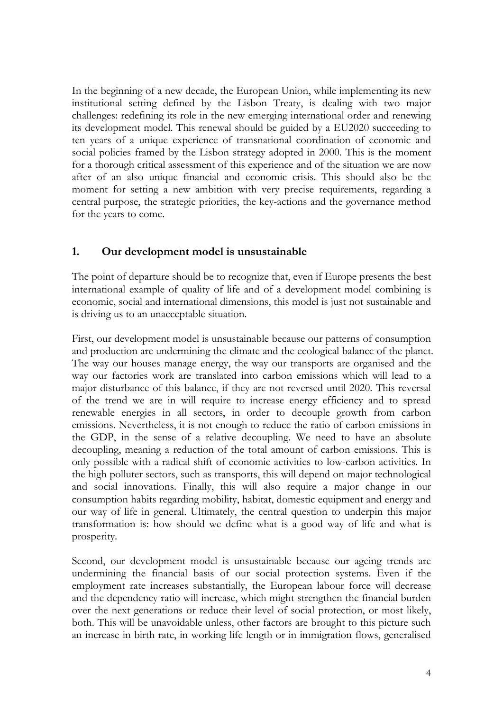In the beginning of a new decade, the European Union, while implementing its new institutional setting defined by the Lisbon Treaty, is dealing with two major challenges: redefining its role in the new emerging international order and renewing its development model. This renewal should be guided by a EU2020 succeeding to ten years of a unique experience of transnational coordination of economic and social policies framed by the Lisbon strategy adopted in 2000. This is the moment for a thorough critical assessment of this experience and of the situation we are now after of an also unique financial and economic crisis. This should also be the moment for setting a new ambition with very precise requirements, regarding a central purpose, the strategic priorities, the key-actions and the governance method for the years to come.

### **1. Our development model is unsustainable**

The point of departure should be to recognize that, even if Europe presents the best international example of quality of life and of a development model combining is economic, social and international dimensions, this model is just not sustainable and is driving us to an unacceptable situation.

First, our development model is unsustainable because our patterns of consumption and production are undermining the climate and the ecological balance of the planet. The way our houses manage energy, the way our transports are organised and the way our factories work are translated into carbon emissions which will lead to a major disturbance of this balance, if they are not reversed until 2020. This reversal of the trend we are in will require to increase energy efficiency and to spread renewable energies in all sectors, in order to decouple growth from carbon emissions. Nevertheless, it is not enough to reduce the ratio of carbon emissions in the GDP, in the sense of a relative decoupling. We need to have an absolute decoupling, meaning a reduction of the total amount of carbon emissions. This is only possible with a radical shift of economic activities to low-carbon activities. In the high polluter sectors, such as transports, this will depend on major technological and social innovations. Finally, this will also require a major change in our consumption habits regarding mobility, habitat, domestic equipment and energy and our way of life in general. Ultimately, the central question to underpin this major transformation is: how should we define what is a good way of life and what is prosperity.

Second, our development model is unsustainable because our ageing trends are undermining the financial basis of our social protection systems. Even if the employment rate increases substantially, the European labour force will decrease and the dependency ratio will increase, which might strengthen the financial burden over the next generations or reduce their level of social protection, or most likely, both. This will be unavoidable unless, other factors are brought to this picture such an increase in birth rate, in working life length or in immigration flows, generalised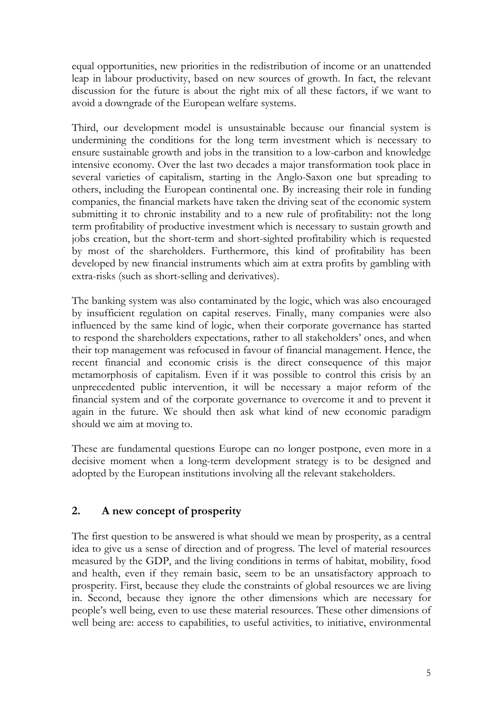equal opportunities, new priorities in the redistribution of income or an unattended leap in labour productivity, based on new sources of growth. In fact, the relevant discussion for the future is about the right mix of all these factors, if we want to avoid a downgrade of the European welfare systems.

Third, our development model is unsustainable because our financial system is undermining the conditions for the long term investment which is necessary to ensure sustainable growth and jobs in the transition to a low-carbon and knowledge intensive economy. Over the last two decades a major transformation took place in several varieties of capitalism, starting in the Anglo-Saxon one but spreading to others, including the European continental one. By increasing their role in funding companies, the financial markets have taken the driving seat of the economic system submitting it to chronic instability and to a new rule of profitability: not the long term profitability of productive investment which is necessary to sustain growth and jobs creation, but the short-term and short-sighted profitability which is requested by most of the shareholders. Furthermore, this kind of profitability has been developed by new financial instruments which aim at extra profits by gambling with extra-risks (such as short-selling and derivatives).

The banking system was also contaminated by the logic, which was also encouraged by insufficient regulation on capital reserves. Finally, many companies were also influenced by the same kind of logic, when their corporate governance has started to respond the shareholders expectations, rather to all stakeholders' ones, and when their top management was refocused in favour of financial management. Hence, the recent financial and economic crisis is the direct consequence of this major metamorphosis of capitalism. Even if it was possible to control this crisis by an unprecedented public intervention, it will be necessary a major reform of the financial system and of the corporate governance to overcome it and to prevent it again in the future. We should then ask what kind of new economic paradigm should we aim at moving to.

These are fundamental questions Europe can no longer postpone, even more in a decisive moment when a long-term development strategy is to be designed and adopted by the European institutions involving all the relevant stakeholders.

# **2. A new concept of prosperity**

The first question to be answered is what should we mean by prosperity, as a central idea to give us a sense of direction and of progress. The level of material resources measured by the GDP, and the living conditions in terms of habitat, mobility, food and health, even if they remain basic, seem to be an unsatisfactory approach to prosperity. First, because they elude the constraints of global resources we are living in. Second, because they ignore the other dimensions which are necessary for people's well being, even to use these material resources. These other dimensions of well being are: access to capabilities, to useful activities, to initiative, environmental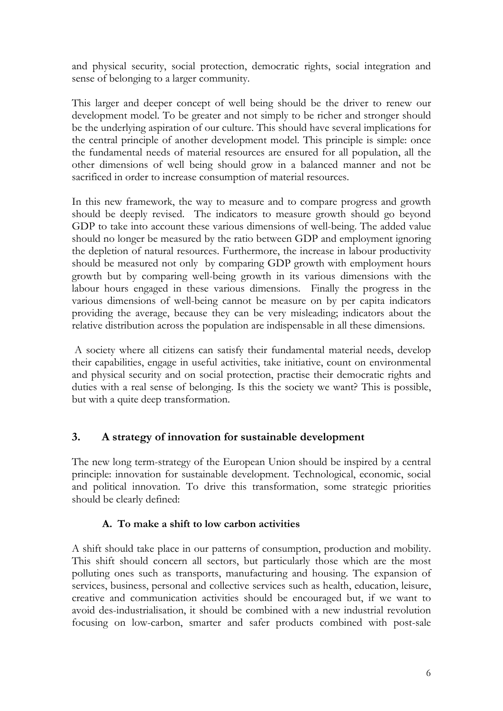and physical security, social protection, democratic rights, social integration and sense of belonging to a larger community.

This larger and deeper concept of well being should be the driver to renew our development model. To be greater and not simply to be richer and stronger should be the underlying aspiration of our culture. This should have several implications for the central principle of another development model. This principle is simple: once the fundamental needs of material resources are ensured for all population, all the other dimensions of well being should grow in a balanced manner and not be sacrificed in order to increase consumption of material resources.

In this new framework, the way to measure and to compare progress and growth should be deeply revised. The indicators to measure growth should go beyond GDP to take into account these various dimensions of well-being. The added value should no longer be measured by the ratio between GDP and employment ignoring the depletion of natural resources. Furthermore, the increase in labour productivity should be measured not only by comparing GDP growth with employment hours growth but by comparing well-being growth in its various dimensions with the labour hours engaged in these various dimensions. Finally the progress in the various dimensions of well-being cannot be measure on by per capita indicators providing the average, because they can be very misleading; indicators about the relative distribution across the population are indispensable in all these dimensions.

 A society where all citizens can satisfy their fundamental material needs, develop their capabilities, engage in useful activities, take initiative, count on environmental and physical security and on social protection, practise their democratic rights and duties with a real sense of belonging. Is this the society we want? This is possible, but with a quite deep transformation.

# **3. A strategy of innovation for sustainable development**

The new long term-strategy of the European Union should be inspired by a central principle: innovation for sustainable development. Technological, economic, social and political innovation. To drive this transformation, some strategic priorities should be clearly defined:

# **A. To make a shift to low carbon activities**

A shift should take place in our patterns of consumption, production and mobility. This shift should concern all sectors, but particularly those which are the most polluting ones such as transports, manufacturing and housing. The expansion of services, business, personal and collective services such as health, education, leisure, creative and communication activities should be encouraged but, if we want to avoid des-industrialisation, it should be combined with a new industrial revolution focusing on low-carbon, smarter and safer products combined with post-sale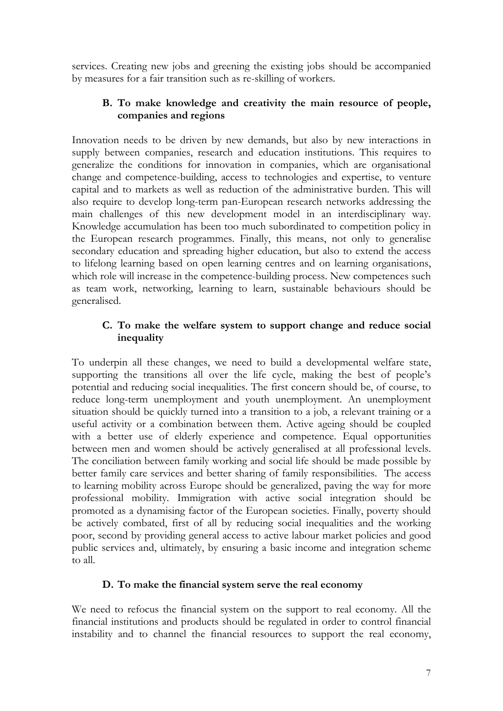services. Creating new jobs and greening the existing jobs should be accompanied by measures for a fair transition such as re-skilling of workers.

#### **B. To make knowledge and creativity the main resource of people, companies and regions**

Innovation needs to be driven by new demands, but also by new interactions in supply between companies, research and education institutions. This requires to generalize the conditions for innovation in companies, which are organisational change and competence-building, access to technologies and expertise, to venture capital and to markets as well as reduction of the administrative burden. This will also require to develop long-term pan-European research networks addressing the main challenges of this new development model in an interdisciplinary way. Knowledge accumulation has been too much subordinated to competition policy in the European research programmes. Finally, this means, not only to generalise secondary education and spreading higher education, but also to extend the access to lifelong learning based on open learning centres and on learning organisations, which role will increase in the competence-building process. New competences such as team work, networking, learning to learn, sustainable behaviours should be generalised.

#### **C. To make the welfare system to support change and reduce social inequality**

To underpin all these changes, we need to build a developmental welfare state, supporting the transitions all over the life cycle, making the best of people's potential and reducing social inequalities. The first concern should be, of course, to reduce long-term unemployment and youth unemployment. An unemployment situation should be quickly turned into a transition to a job, a relevant training or a useful activity or a combination between them. Active ageing should be coupled with a better use of elderly experience and competence. Equal opportunities between men and women should be actively generalised at all professional levels. The conciliation between family working and social life should be made possible by better family care services and better sharing of family responsibilities. The access to learning mobility across Europe should be generalized, paving the way for more professional mobility. Immigration with active social integration should be promoted as a dynamising factor of the European societies. Finally, poverty should be actively combated, first of all by reducing social inequalities and the working poor, second by providing general access to active labour market policies and good public services and, ultimately, by ensuring a basic income and integration scheme to all.

#### **D. To make the financial system serve the real economy**

We need to refocus the financial system on the support to real economy. All the financial institutions and products should be regulated in order to control financial instability and to channel the financial resources to support the real economy,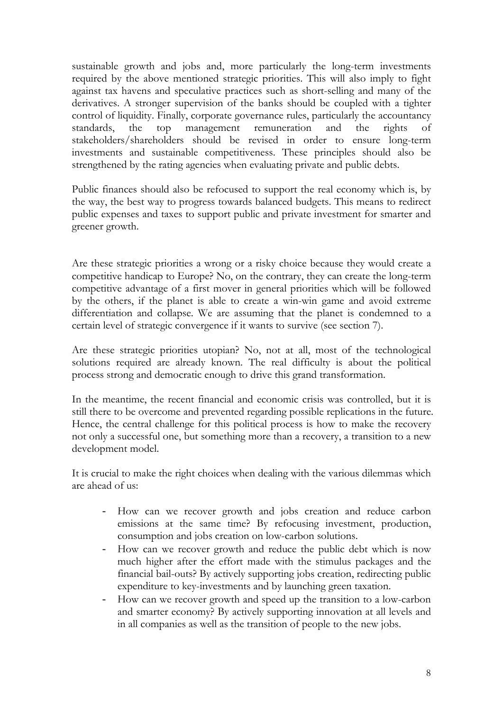sustainable growth and jobs and, more particularly the long-term investments required by the above mentioned strategic priorities. This will also imply to fight against tax havens and speculative practices such as short-selling and many of the derivatives. A stronger supervision of the banks should be coupled with a tighter control of liquidity. Finally, corporate governance rules, particularly the accountancy standards, the top management remuneration and the rights of stakeholders/shareholders should be revised in order to ensure long-term investments and sustainable competitiveness. These principles should also be strengthened by the rating agencies when evaluating private and public debts.

Public finances should also be refocused to support the real economy which is, by the way, the best way to progress towards balanced budgets. This means to redirect public expenses and taxes to support public and private investment for smarter and greener growth.

Are these strategic priorities a wrong or a risky choice because they would create a competitive handicap to Europe? No, on the contrary, they can create the long-term competitive advantage of a first mover in general priorities which will be followed by the others, if the planet is able to create a win-win game and avoid extreme differentiation and collapse. We are assuming that the planet is condemned to a certain level of strategic convergence if it wants to survive (see section 7).

Are these strategic priorities utopian? No, not at all, most of the technological solutions required are already known. The real difficulty is about the political process strong and democratic enough to drive this grand transformation.

In the meantime, the recent financial and economic crisis was controlled, but it is still there to be overcome and prevented regarding possible replications in the future. Hence, the central challenge for this political process is how to make the recovery not only a successful one, but something more than a recovery, a transition to a new development model.

It is crucial to make the right choices when dealing with the various dilemmas which are ahead of us:

- How can we recover growth and jobs creation and reduce carbon emissions at the same time? By refocusing investment, production, consumption and jobs creation on low-carbon solutions.
- How can we recover growth and reduce the public debt which is now much higher after the effort made with the stimulus packages and the financial bail-outs? By actively supporting jobs creation, redirecting public expenditure to key-investments and by launching green taxation.
- How can we recover growth and speed up the transition to a low-carbon and smarter economy? By actively supporting innovation at all levels and in all companies as well as the transition of people to the new jobs.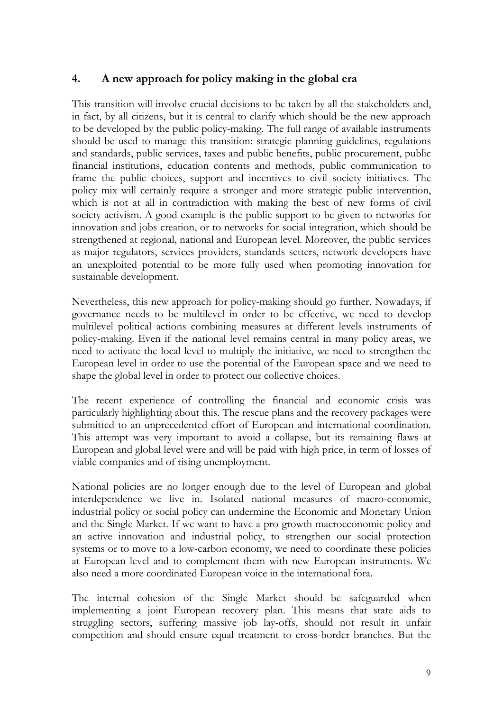## **4. A new approach for policy making in the global era**

This transition will involve crucial decisions to be taken by all the stakeholders and, in fact, by all citizens, but it is central to clarify which should be the new approach to be developed by the public policy-making. The full range of available instruments should be used to manage this transition: strategic planning guidelines, regulations and standards, public services, taxes and public benefits, public procurement, public financial institutions, education contents and methods, public communication to frame the public choices, support and incentives to civil society initiatives. The policy mix will certainly require a stronger and more strategic public intervention, which is not at all in contradiction with making the best of new forms of civil society activism. A good example is the public support to be given to networks for innovation and jobs creation, or to networks for social integration, which should be strengthened at regional, national and European level. Moreover, the public services as major regulators, services providers, standards setters, network developers have an unexploited potential to be more fully used when promoting innovation for sustainable development.

Nevertheless, this new approach for policy-making should go further. Nowadays, if governance needs to be multilevel in order to be effective, we need to develop multilevel political actions combining measures at different levels instruments of policy-making. Even if the national level remains central in many policy areas, we need to activate the local level to multiply the initiative, we need to strengthen the European level in order to use the potential of the European space and we need to shape the global level in order to protect our collective choices.

The recent experience of controlling the financial and economic crisis was particularly highlighting about this. The rescue plans and the recovery packages were submitted to an unprecedented effort of European and international coordination. This attempt was very important to avoid a collapse, but its remaining flaws at European and global level were and will be paid with high price, in term of losses of viable companies and of rising unemployment.

National policies are no longer enough due to the level of European and global interdependence we live in. Isolated national measures of macro-economic, industrial policy or social policy can undermine the Economic and Monetary Union and the Single Market. If we want to have a pro-growth macroeconomic policy and an active innovation and industrial policy, to strengthen our social protection systems or to move to a low-carbon economy, we need to coordinate these policies at European level and to complement them with new European instruments. We also need a more coordinated European voice in the international fora.

The internal cohesion of the Single Market should be safeguarded when implementing a joint European recovery plan. This means that state aids to struggling sectors, suffering massive job lay-offs, should not result in unfair competition and should ensure equal treatment to cross-border branches. But the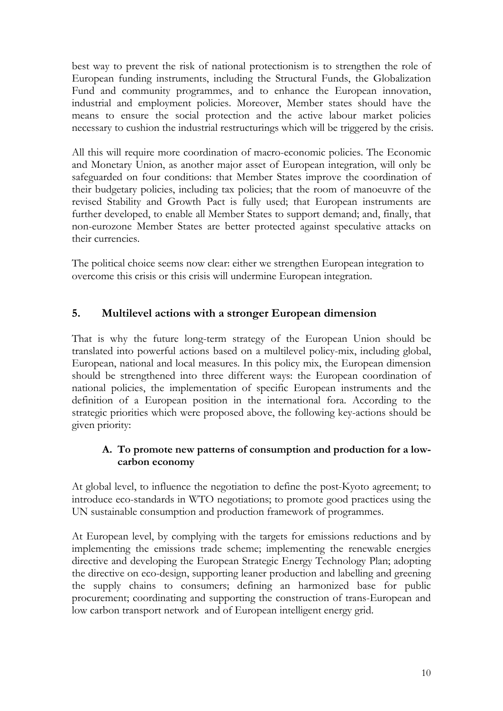best way to prevent the risk of national protectionism is to strengthen the role of European funding instruments, including the Structural Funds, the Globalization Fund and community programmes, and to enhance the European innovation, industrial and employment policies. Moreover, Member states should have the means to ensure the social protection and the active labour market policies necessary to cushion the industrial restructurings which will be triggered by the crisis.

All this will require more coordination of macro-economic policies. The Economic and Monetary Union, as another major asset of European integration, will only be safeguarded on four conditions: that Member States improve the coordination of their budgetary policies, including tax policies; that the room of manoeuvre of the revised Stability and Growth Pact is fully used; that European instruments are further developed, to enable all Member States to support demand; and, finally, that non-eurozone Member States are better protected against speculative attacks on their currencies.

The political choice seems now clear: either we strengthen European integration to overcome this crisis or this crisis will undermine European integration.

# **5. Multilevel actions with a stronger European dimension**

That is why the future long-term strategy of the European Union should be translated into powerful actions based on a multilevel policy-mix, including global, European, national and local measures. In this policy mix, the European dimension should be strengthened into three different ways: the European coordination of national policies, the implementation of specific European instruments and the definition of a European position in the international fora. According to the strategic priorities which were proposed above, the following key-actions should be given priority:

### **A. To promote new patterns of consumption and production for a lowcarbon economy**

At global level, to influence the negotiation to define the post-Kyoto agreement; to introduce eco-standards in WTO negotiations; to promote good practices using the UN sustainable consumption and production framework of programmes.

At European level, by complying with the targets for emissions reductions and by implementing the emissions trade scheme; implementing the renewable energies directive and developing the European Strategic Energy Technology Plan; adopting the directive on eco-design, supporting leaner production and labelling and greening the supply chains to consumers; defining an harmonized base for public procurement; coordinating and supporting the construction of trans-European and low carbon transport network and of European intelligent energy grid.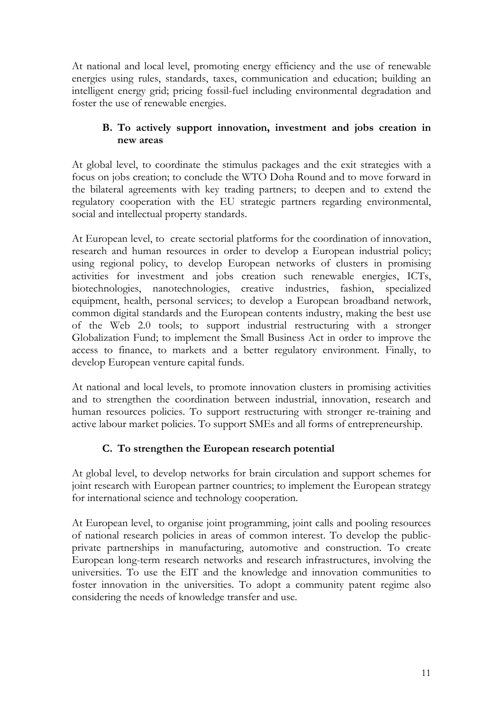At national and local level, promoting energy efficiency and the use of renewable energies using rules, standards, taxes, communication and education; building an intelligent energy grid; pricing fossil-fuel including environmental degradation and foster the use of renewable energies.

#### **B. To actively support innovation, investment and jobs creation in new areas**

At global level, to coordinate the stimulus packages and the exit strategies with a focus on jobs creation; to conclude the WTO Doha Round and to move forward in the bilateral agreements with key trading partners; to deepen and to extend the regulatory cooperation with the EU strategic partners regarding environmental, social and intellectual property standards.

At European level, to create sectorial platforms for the coordination of innovation, research and human resources in order to develop a European industrial policy; using regional policy, to develop European networks of clusters in promising activities for investment and jobs creation such renewable energies, ICTs, biotechnologies, nanotechnologies, creative industries, fashion, specialized equipment, health, personal services; to develop a European broadband network, common digital standards and the European contents industry, making the best use of the Web 2.0 tools; to support industrial restructuring with a stronger Globalization Fund; to implement the Small Business Act in order to improve the access to finance, to markets and a better regulatory environment. Finally, to develop European venture capital funds.

At national and local levels, to promote innovation clusters in promising activities and to strengthen the coordination between industrial, innovation, research and human resources policies. To support restructuring with stronger re-training and active labour market policies. To support SMEs and all forms of entrepreneurship.

# **C. To strengthen the European research potential**

At global level, to develop networks for brain circulation and support schemes for joint research with European partner countries; to implement the European strategy for international science and technology cooperation.

At European level, to organise joint programming, joint calls and pooling resources of national research policies in areas of common interest. To develop the publicprivate partnerships in manufacturing, automotive and construction. To create European long-term research networks and research infrastructures, involving the universities. To use the EIT and the knowledge and innovation communities to foster innovation in the universities. To adopt a community patent regime also considering the needs of knowledge transfer and use.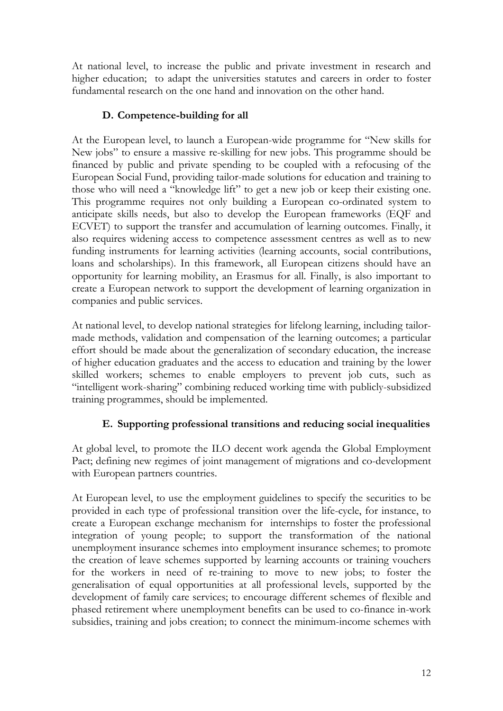At national level, to increase the public and private investment in research and higher education; to adapt the universities statutes and careers in order to foster fundamental research on the one hand and innovation on the other hand.

# **D. Competence-building for all**

At the European level, to launch a European-wide programme for "New skills for New jobs" to ensure a massive re-skilling for new jobs. This programme should be financed by public and private spending to be coupled with a refocusing of the European Social Fund, providing tailor-made solutions for education and training to those who will need a "knowledge lift" to get a new job or keep their existing one. This programme requires not only building a European co-ordinated system to anticipate skills needs, but also to develop the European frameworks (EQF and ECVET) to support the transfer and accumulation of learning outcomes. Finally, it also requires widening access to competence assessment centres as well as to new funding instruments for learning activities (learning accounts, social contributions, loans and scholarships). In this framework, all European citizens should have an opportunity for learning mobility, an Erasmus for all. Finally, is also important to create a European network to support the development of learning organization in companies and public services.

At national level, to develop national strategies for lifelong learning, including tailormade methods, validation and compensation of the learning outcomes; a particular effort should be made about the generalization of secondary education, the increase of higher education graduates and the access to education and training by the lower skilled workers; schemes to enable employers to prevent job cuts, such as "intelligent work-sharing" combining reduced working time with publicly-subsidized training programmes, should be implemented.

# **E. Supporting professional transitions and reducing social inequalities**

At global level, to promote the ILO decent work agenda the Global Employment Pact; defining new regimes of joint management of migrations and co-development with European partners countries.

At European level, to use the employment guidelines to specify the securities to be provided in each type of professional transition over the life-cycle, for instance, to create a European exchange mechanism for internships to foster the professional integration of young people; to support the transformation of the national unemployment insurance schemes into employment insurance schemes; to promote the creation of leave schemes supported by learning accounts or training vouchers for the workers in need of re-training to move to new jobs; to foster the generalisation of equal opportunities at all professional levels, supported by the development of family care services; to encourage different schemes of flexible and phased retirement where unemployment benefits can be used to co-finance in-work subsidies, training and jobs creation; to connect the minimum-income schemes with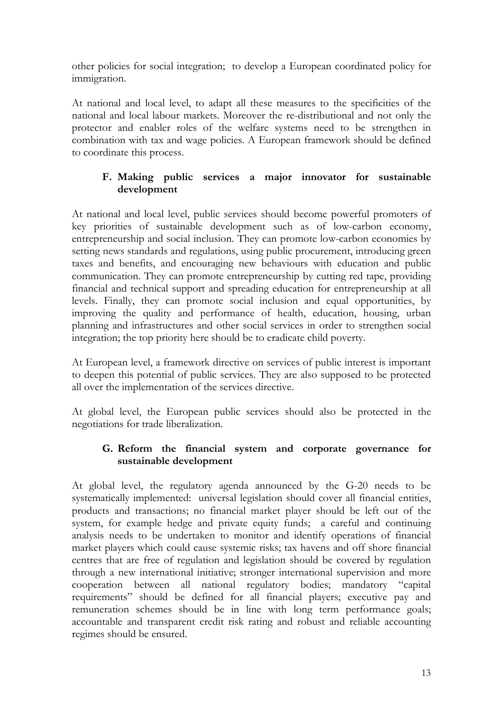other policies for social integration; to develop a European coordinated policy for immigration.

At national and local level, to adapt all these measures to the specificities of the national and local labour markets. Moreover the re-distributional and not only the protector and enabler roles of the welfare systems need to be strengthen in combination with tax and wage policies. A European framework should be defined to coordinate this process.

#### **F. Making public services a major innovator for sustainable development**

At national and local level, public services should become powerful promoters of key priorities of sustainable development such as of low-carbon economy, entrepreneurship and social inclusion. They can promote low-carbon economies by setting news standards and regulations, using public procurement, introducing green taxes and benefits, and encouraging new behaviours with education and public communication. They can promote entrepreneurship by cutting red tape, providing financial and technical support and spreading education for entrepreneurship at all levels. Finally, they can promote social inclusion and equal opportunities, by improving the quality and performance of health, education, housing, urban planning and infrastructures and other social services in order to strengthen social integration; the top priority here should be to eradicate child poverty.

At European level, a framework directive on services of public interest is important to deepen this potential of public services. They are also supposed to be protected all over the implementation of the services directive.

At global level, the European public services should also be protected in the negotiations for trade liberalization.

### **G. Reform the financial system and corporate governance for sustainable development**

At global level, the regulatory agenda announced by the G-20 needs to be systematically implemented: universal legislation should cover all financial entities, products and transactions; no financial market player should be left out of the system, for example hedge and private equity funds; a careful and continuing analysis needs to be undertaken to monitor and identify operations of financial market players which could cause systemic risks; tax havens and off shore financial centres that are free of regulation and legislation should be covered by regulation through a new international initiative; stronger international supervision and more cooperation between all national regulatory bodies; mandatory "capital requirements" should be defined for all financial players; executive pay and remuneration schemes should be in line with long term performance goals; accountable and transparent credit risk rating and robust and reliable accounting regimes should be ensured.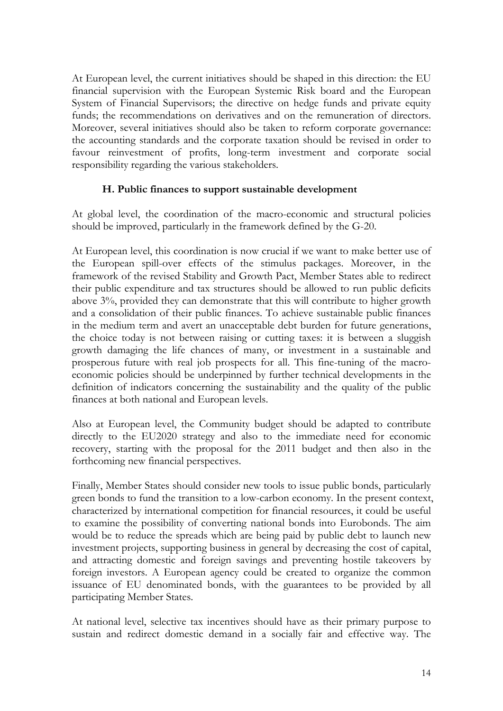At European level, the current initiatives should be shaped in this direction: the EU financial supervision with the European Systemic Risk board and the European System of Financial Supervisors; the directive on hedge funds and private equity funds; the recommendations on derivatives and on the remuneration of directors. Moreover, several initiatives should also be taken to reform corporate governance: the accounting standards and the corporate taxation should be revised in order to favour reinvestment of profits, long-term investment and corporate social responsibility regarding the various stakeholders.

#### **H. Public finances to support sustainable development**

At global level, the coordination of the macro-economic and structural policies should be improved, particularly in the framework defined by the G-20.

At European level, this coordination is now crucial if we want to make better use of the European spill-over effects of the stimulus packages. Moreover, in the framework of the revised Stability and Growth Pact, Member States able to redirect their public expenditure and tax structures should be allowed to run public deficits above 3%, provided they can demonstrate that this will contribute to higher growth and a consolidation of their public finances. To achieve sustainable public finances in the medium term and avert an unacceptable debt burden for future generations, the choice today is not between raising or cutting taxes: it is between a sluggish growth damaging the life chances of many, or investment in a sustainable and prosperous future with real job prospects for all. This fine-tuning of the macroeconomic policies should be underpinned by further technical developments in the definition of indicators concerning the sustainability and the quality of the public finances at both national and European levels.

Also at European level, the Community budget should be adapted to contribute directly to the EU2020 strategy and also to the immediate need for economic recovery, starting with the proposal for the 2011 budget and then also in the forthcoming new financial perspectives.

Finally, Member States should consider new tools to issue public bonds, particularly green bonds to fund the transition to a low-carbon economy. In the present context, characterized by international competition for financial resources, it could be useful to examine the possibility of converting national bonds into Eurobonds. The aim would be to reduce the spreads which are being paid by public debt to launch new investment projects, supporting business in general by decreasing the cost of capital, and attracting domestic and foreign savings and preventing hostile takeovers by foreign investors. A European agency could be created to organize the common issuance of EU denominated bonds, with the guarantees to be provided by all participating Member States.

At national level, selective tax incentives should have as their primary purpose to sustain and redirect domestic demand in a socially fair and effective way. The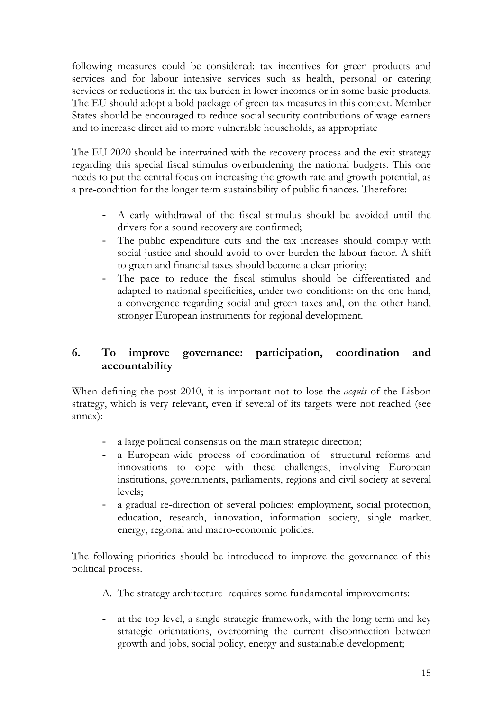following measures could be considered: tax incentives for green products and services and for labour intensive services such as health, personal or catering services or reductions in the tax burden in lower incomes or in some basic products. The EU should adopt a bold package of green tax measures in this context. Member States should be encouraged to reduce social security contributions of wage earners and to increase direct aid to more vulnerable households, as appropriate

The EU 2020 should be intertwined with the recovery process and the exit strategy regarding this special fiscal stimulus overburdening the national budgets. This one needs to put the central focus on increasing the growth rate and growth potential, as a pre-condition for the longer term sustainability of public finances. Therefore:

- A early withdrawal of the fiscal stimulus should be avoided until the drivers for a sound recovery are confirmed;
- The public expenditure cuts and the tax increases should comply with social justice and should avoid to over-burden the labour factor. A shift to green and financial taxes should become a clear priority;
- The pace to reduce the fiscal stimulus should be differentiated and adapted to national specificities, under two conditions: on the one hand, a convergence regarding social and green taxes and, on the other hand, stronger European instruments for regional development.

## **6. To improve governance: participation, coordination and accountability**

When defining the post 2010, it is important not to lose the *acquis* of the Lisbon strategy, which is very relevant, even if several of its targets were not reached (see annex):

- a large political consensus on the main strategic direction;
- a European-wide process of coordination of structural reforms and innovations to cope with these challenges, involving European institutions, governments, parliaments, regions and civil society at several levels;
- a gradual re-direction of several policies: employment, social protection, education, research, innovation, information society, single market, energy, regional and macro-economic policies.

The following priorities should be introduced to improve the governance of this political process.

- A. The strategy architecture requires some fundamental improvements:
- at the top level, a single strategic framework, with the long term and key strategic orientations, overcoming the current disconnection between growth and jobs, social policy, energy and sustainable development;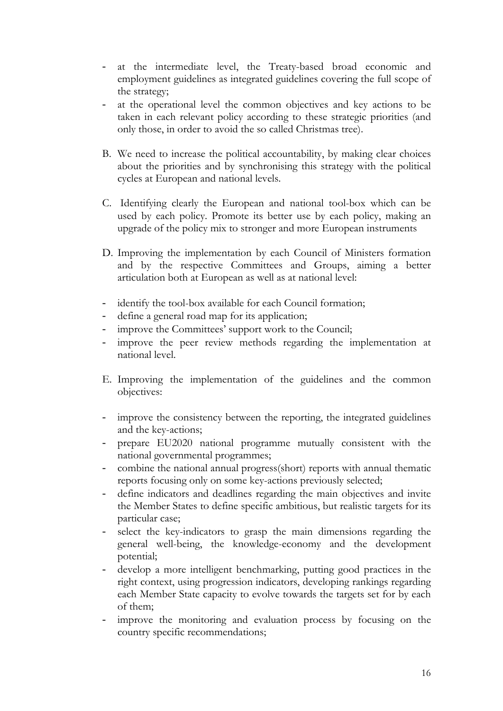- at the intermediate level, the Treaty-based broad economic and employment guidelines as integrated guidelines covering the full scope of the strategy;
- at the operational level the common objectives and key actions to be taken in each relevant policy according to these strategic priorities (and only those, in order to avoid the so called Christmas tree).
- B. We need to increase the political accountability, by making clear choices about the priorities and by synchronising this strategy with the political cycles at European and national levels.
- C. Identifying clearly the European and national tool-box which can be used by each policy. Promote its better use by each policy, making an upgrade of the policy mix to stronger and more European instruments
- D. Improving the implementation by each Council of Ministers formation and by the respective Committees and Groups, aiming a better articulation both at European as well as at national level:
- identify the tool-box available for each Council formation;
- define a general road map for its application;
- improve the Committees' support work to the Council;
- improve the peer review methods regarding the implementation at national level.
- E. Improving the implementation of the guidelines and the common objectives:
- improve the consistency between the reporting, the integrated guidelines and the key-actions;
- prepare EU2020 national programme mutually consistent with the national governmental programmes;
- combine the national annual progress(short) reports with annual thematic reports focusing only on some key-actions previously selected;
- define indicators and deadlines regarding the main objectives and invite the Member States to define specific ambitious, but realistic targets for its particular case;
- select the key-indicators to grasp the main dimensions regarding the general well-being, the knowledge-economy and the development potential;
- develop a more intelligent benchmarking, putting good practices in the right context, using progression indicators, developing rankings regarding each Member State capacity to evolve towards the targets set for by each of them;
- improve the monitoring and evaluation process by focusing on the country specific recommendations;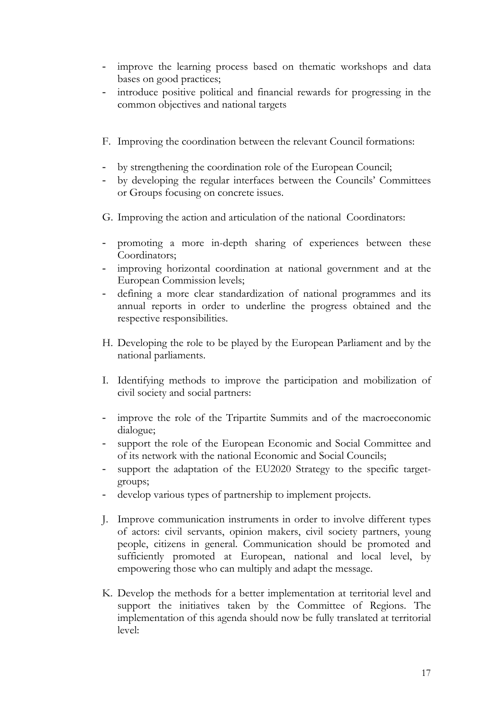- improve the learning process based on thematic workshops and data bases on good practices;
- introduce positive political and financial rewards for progressing in the common objectives and national targets
- F. Improving the coordination between the relevant Council formations:
- by strengthening the coordination role of the European Council;
- by developing the regular interfaces between the Councils' Committees or Groups focusing on concrete issues.
- G. Improving the action and articulation of the national Coordinators:
- promoting a more in-depth sharing of experiences between these Coordinators;
- improving horizontal coordination at national government and at the European Commission levels;
- defining a more clear standardization of national programmes and its annual reports in order to underline the progress obtained and the respective responsibilities.
- H. Developing the role to be played by the European Parliament and by the national parliaments.
- I. Identifying methods to improve the participation and mobilization of civil society and social partners:
- improve the role of the Tripartite Summits and of the macroeconomic dialogue;
- support the role of the European Economic and Social Committee and of its network with the national Economic and Social Councils;
- support the adaptation of the EU2020 Strategy to the specific targetgroups;
- develop various types of partnership to implement projects.
- J. Improve communication instruments in order to involve different types of actors: civil servants, opinion makers, civil society partners, young people, citizens in general. Communication should be promoted and sufficiently promoted at European, national and local level, by empowering those who can multiply and adapt the message.
- K. Develop the methods for a better implementation at territorial level and support the initiatives taken by the Committee of Regions. The implementation of this agenda should now be fully translated at territorial level: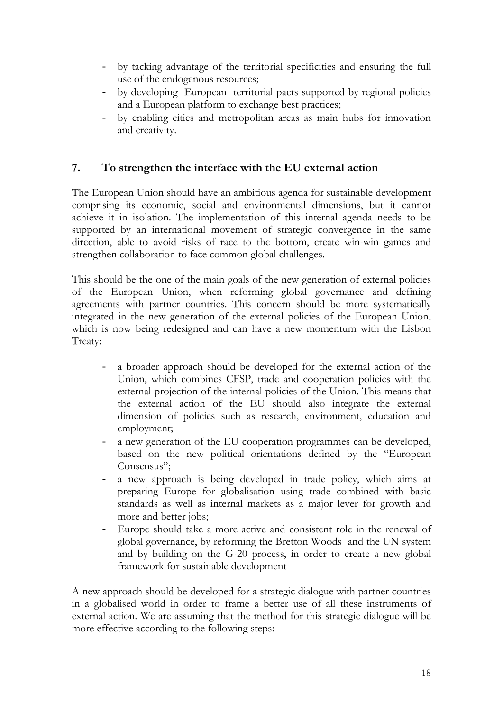- by tacking advantage of the territorial specificities and ensuring the full use of the endogenous resources;
- by developing European territorial pacts supported by regional policies and a European platform to exchange best practices;
- by enabling cities and metropolitan areas as main hubs for innovation and creativity.

# **7. To strengthen the interface with the EU external action**

The European Union should have an ambitious agenda for sustainable development comprising its economic, social and environmental dimensions, but it cannot achieve it in isolation. The implementation of this internal agenda needs to be supported by an international movement of strategic convergence in the same direction, able to avoid risks of race to the bottom, create win-win games and strengthen collaboration to face common global challenges.

This should be the one of the main goals of the new generation of external policies of the European Union, when reforming global governance and defining agreements with partner countries. This concern should be more systematically integrated in the new generation of the external policies of the European Union, which is now being redesigned and can have a new momentum with the Lisbon Treaty:

- a broader approach should be developed for the external action of the Union, which combines CFSP, trade and cooperation policies with the external projection of the internal policies of the Union. This means that the external action of the EU should also integrate the external dimension of policies such as research, environment, education and employment;
- a new generation of the EU cooperation programmes can be developed, based on the new political orientations defined by the "European Consensus";
- a new approach is being developed in trade policy, which aims at preparing Europe for globalisation using trade combined with basic standards as well as internal markets as a major lever for growth and more and better jobs;
- Europe should take a more active and consistent role in the renewal of global governance, by reforming the Bretton Woods and the UN system and by building on the G-20 process, in order to create a new global framework for sustainable development

A new approach should be developed for a strategic dialogue with partner countries in a globalised world in order to frame a better use of all these instruments of external action. We are assuming that the method for this strategic dialogue will be more effective according to the following steps: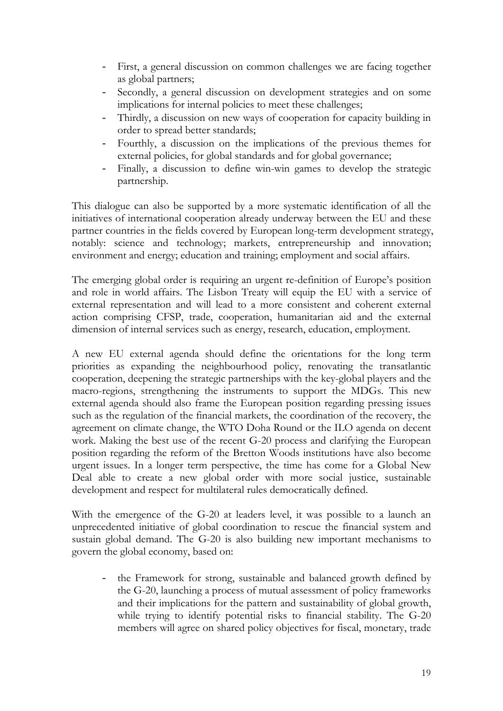- First, a general discussion on common challenges we are facing together as global partners;
- Secondly, a general discussion on development strategies and on some implications for internal policies to meet these challenges;
- Thirdly, a discussion on new ways of cooperation for capacity building in order to spread better standards;
- Fourthly, a discussion on the implications of the previous themes for external policies, for global standards and for global governance;
- Finally, a discussion to define win-win games to develop the strategic partnership.

This dialogue can also be supported by a more systematic identification of all the initiatives of international cooperation already underway between the EU and these partner countries in the fields covered by European long-term development strategy, notably: science and technology; markets, entrepreneurship and innovation; environment and energy; education and training; employment and social affairs.

The emerging global order is requiring an urgent re-definition of Europe's position and role in world affairs. The Lisbon Treaty will equip the EU with a service of external representation and will lead to a more consistent and coherent external action comprising CFSP, trade, cooperation, humanitarian aid and the external dimension of internal services such as energy, research, education, employment.

A new EU external agenda should define the orientations for the long term priorities as expanding the neighbourhood policy, renovating the transatlantic cooperation, deepening the strategic partnerships with the key-global players and the macro-regions, strengthening the instruments to support the MDGs. This new external agenda should also frame the European position regarding pressing issues such as the regulation of the financial markets, the coordination of the recovery, the agreement on climate change, the WTO Doha Round or the ILO agenda on decent work. Making the best use of the recent G-20 process and clarifying the European position regarding the reform of the Bretton Woods institutions have also become urgent issues. In a longer term perspective, the time has come for a Global New Deal able to create a new global order with more social justice, sustainable development and respect for multilateral rules democratically defined.

With the emergence of the G-20 at leaders level, it was possible to a launch an unprecedented initiative of global coordination to rescue the financial system and sustain global demand. The G-20 is also building new important mechanisms to govern the global economy, based on:

the Framework for strong, sustainable and balanced growth defined by the G-20, launching a process of mutual assessment of policy frameworks and their implications for the pattern and sustainability of global growth, while trying to identify potential risks to financial stability. The G-20 members will agree on shared policy objectives for fiscal, monetary, trade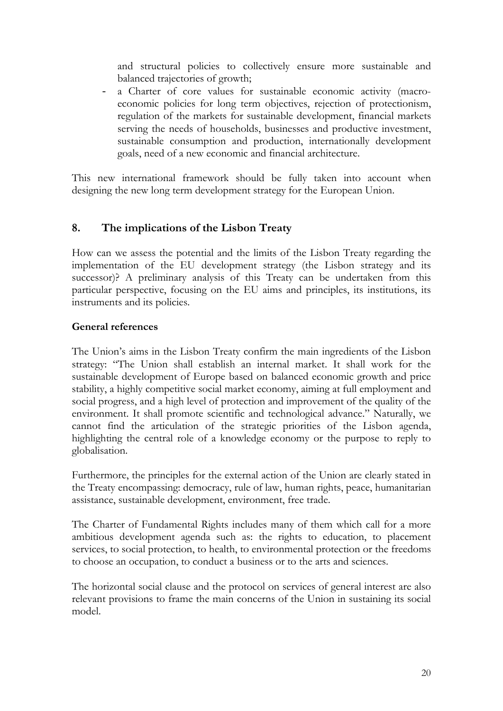and structural policies to collectively ensure more sustainable and balanced trajectories of growth;

- a Charter of core values for sustainable economic activity (macroeconomic policies for long term objectives, rejection of protectionism, regulation of the markets for sustainable development, financial markets serving the needs of households, businesses and productive investment, sustainable consumption and production, internationally development goals, need of a new economic and financial architecture.

This new international framework should be fully taken into account when designing the new long term development strategy for the European Union.

# **8. The implications of the Lisbon Treaty**

How can we assess the potential and the limits of the Lisbon Treaty regarding the implementation of the EU development strategy (the Lisbon strategy and its successor)? A preliminary analysis of this Treaty can be undertaken from this particular perspective, focusing on the EU aims and principles, its institutions, its instruments and its policies.

### **General references**

The Union's aims in the Lisbon Treaty confirm the main ingredients of the Lisbon strategy: "The Union shall establish an internal market. It shall work for the sustainable development of Europe based on balanced economic growth and price stability, a highly competitive social market economy, aiming at full employment and social progress, and a high level of protection and improvement of the quality of the environment. It shall promote scientific and technological advance." Naturally, we cannot find the articulation of the strategic priorities of the Lisbon agenda, highlighting the central role of a knowledge economy or the purpose to reply to globalisation.

Furthermore, the principles for the external action of the Union are clearly stated in the Treaty encompassing: democracy, rule of law, human rights, peace, humanitarian assistance, sustainable development, environment, free trade.

The Charter of Fundamental Rights includes many of them which call for a more ambitious development agenda such as: the rights to education, to placement services, to social protection, to health, to environmental protection or the freedoms to choose an occupation, to conduct a business or to the arts and sciences.

The horizontal social clause and the protocol on services of general interest are also relevant provisions to frame the main concerns of the Union in sustaining its social model.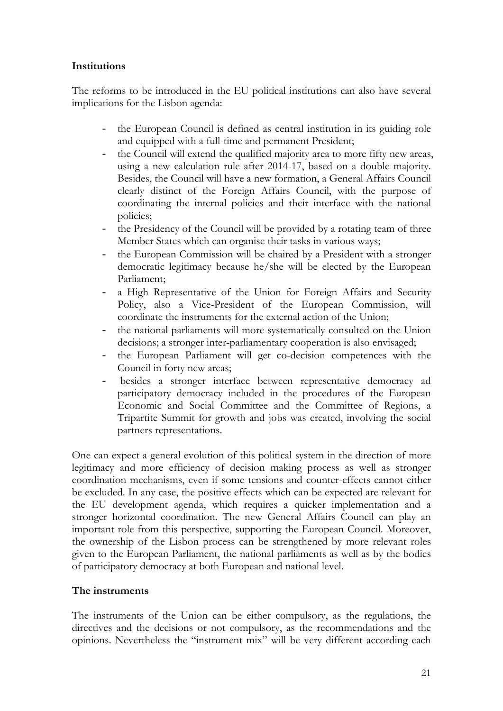### **Institutions**

The reforms to be introduced in the EU political institutions can also have several implications for the Lisbon agenda:

- the European Council is defined as central institution in its guiding role and equipped with a full-time and permanent President;
- the Council will extend the qualified majority area to more fifty new areas, using a new calculation rule after 2014-17, based on a double majority. Besides, the Council will have a new formation, a General Affairs Council clearly distinct of the Foreign Affairs Council, with the purpose of coordinating the internal policies and their interface with the national policies;
- the Presidency of the Council will be provided by a rotating team of three Member States which can organise their tasks in various ways;
- the European Commission will be chaired by a President with a stronger democratic legitimacy because he/she will be elected by the European Parliament;
- a High Representative of the Union for Foreign Affairs and Security Policy, also a Vice-President of the European Commission, will coordinate the instruments for the external action of the Union;
- the national parliaments will more systematically consulted on the Union decisions; a stronger inter-parliamentary cooperation is also envisaged;
- the European Parliament will get co-decision competences with the Council in forty new areas;
- besides a stronger interface between representative democracy ad participatory democracy included in the procedures of the European Economic and Social Committee and the Committee of Regions, a Tripartite Summit for growth and jobs was created, involving the social partners representations.

One can expect a general evolution of this political system in the direction of more legitimacy and more efficiency of decision making process as well as stronger coordination mechanisms, even if some tensions and counter-effects cannot either be excluded. In any case, the positive effects which can be expected are relevant for the EU development agenda, which requires a quicker implementation and a stronger horizontal coordination. The new General Affairs Council can play an important role from this perspective, supporting the European Council. Moreover, the ownership of the Lisbon process can be strengthened by more relevant roles given to the European Parliament, the national parliaments as well as by the bodies of participatory democracy at both European and national level.

#### **The instruments**

The instruments of the Union can be either compulsory, as the regulations, the directives and the decisions or not compulsory, as the recommendations and the opinions. Nevertheless the "instrument mix" will be very different according each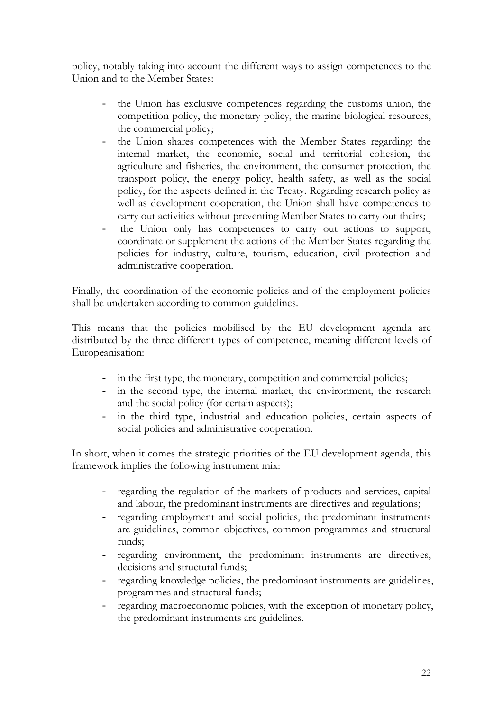policy, notably taking into account the different ways to assign competences to the Union and to the Member States:

- the Union has exclusive competences regarding the customs union, the competition policy, the monetary policy, the marine biological resources, the commercial policy;
- the Union shares competences with the Member States regarding: the internal market, the economic, social and territorial cohesion, the agriculture and fisheries, the environment, the consumer protection, the transport policy, the energy policy, health safety, as well as the social policy, for the aspects defined in the Treaty. Regarding research policy as well as development cooperation, the Union shall have competences to carry out activities without preventing Member States to carry out theirs;
- the Union only has competences to carry out actions to support, coordinate or supplement the actions of the Member States regarding the policies for industry, culture, tourism, education, civil protection and administrative cooperation.

Finally, the coordination of the economic policies and of the employment policies shall be undertaken according to common guidelines.

This means that the policies mobilised by the EU development agenda are distributed by the three different types of competence, meaning different levels of Europeanisation:

- in the first type, the monetary, competition and commercial policies;
- in the second type, the internal market, the environment, the research and the social policy (for certain aspects);
- in the third type, industrial and education policies, certain aspects of social policies and administrative cooperation.

In short, when it comes the strategic priorities of the EU development agenda, this framework implies the following instrument mix:

- regarding the regulation of the markets of products and services, capital and labour, the predominant instruments are directives and regulations;
- regarding employment and social policies, the predominant instruments are guidelines, common objectives, common programmes and structural funds;
- regarding environment, the predominant instruments are directives, decisions and structural funds;
- regarding knowledge policies, the predominant instruments are guidelines, programmes and structural funds;
- regarding macroeconomic policies, with the exception of monetary policy, the predominant instruments are guidelines.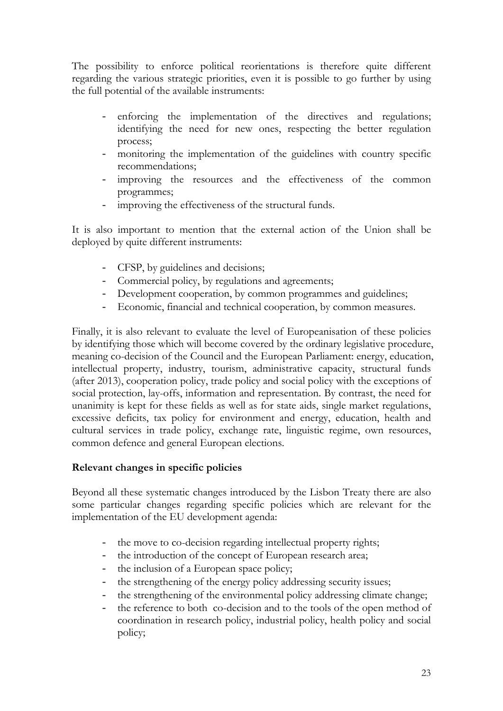The possibility to enforce political reorientations is therefore quite different regarding the various strategic priorities, even it is possible to go further by using the full potential of the available instruments:

- enforcing the implementation of the directives and regulations; identifying the need for new ones, respecting the better regulation process;
- monitoring the implementation of the guidelines with country specific recommendations;
- improving the resources and the effectiveness of the common programmes;
- improving the effectiveness of the structural funds.

It is also important to mention that the external action of the Union shall be deployed by quite different instruments:

- CFSP, by guidelines and decisions;
- Commercial policy, by regulations and agreements;
- Development cooperation, by common programmes and guidelines;
- Economic, financial and technical cooperation, by common measures.

Finally, it is also relevant to evaluate the level of Europeanisation of these policies by identifying those which will become covered by the ordinary legislative procedure, meaning co-decision of the Council and the European Parliament: energy, education, intellectual property, industry, tourism, administrative capacity, structural funds (after 2013), cooperation policy, trade policy and social policy with the exceptions of social protection, lay-offs, information and representation. By contrast, the need for unanimity is kept for these fields as well as for state aids, single market regulations, excessive deficits, tax policy for environment and energy, education, health and cultural services in trade policy, exchange rate, linguistic regime, own resources, common defence and general European elections.

#### **Relevant changes in specific policies**

Beyond all these systematic changes introduced by the Lisbon Treaty there are also some particular changes regarding specific policies which are relevant for the implementation of the EU development agenda:

- the move to co-decision regarding intellectual property rights;
- the introduction of the concept of European research area;
- the inclusion of a European space policy;
- the strengthening of the energy policy addressing security issues;
- the strengthening of the environmental policy addressing climate change;
- the reference to both co-decision and to the tools of the open method of coordination in research policy, industrial policy, health policy and social policy;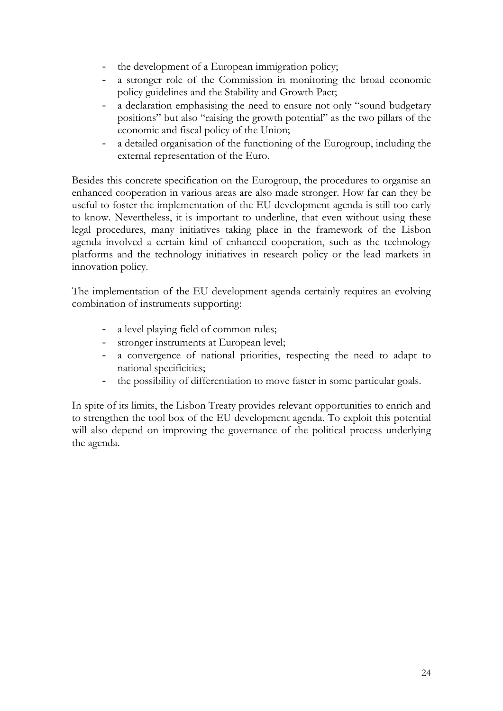- the development of a European immigration policy;
- a stronger role of the Commission in monitoring the broad economic policy guidelines and the Stability and Growth Pact;
- a declaration emphasising the need to ensure not only "sound budgetary positions" but also "raising the growth potential" as the two pillars of the economic and fiscal policy of the Union;
- a detailed organisation of the functioning of the Eurogroup, including the external representation of the Euro.

Besides this concrete specification on the Eurogroup, the procedures to organise an enhanced cooperation in various areas are also made stronger. How far can they be useful to foster the implementation of the EU development agenda is still too early to know. Nevertheless, it is important to underline, that even without using these legal procedures, many initiatives taking place in the framework of the Lisbon agenda involved a certain kind of enhanced cooperation, such as the technology platforms and the technology initiatives in research policy or the lead markets in innovation policy.

The implementation of the EU development agenda certainly requires an evolving combination of instruments supporting:

- a level playing field of common rules;
- stronger instruments at European level;
- a convergence of national priorities, respecting the need to adapt to national specificities;
- the possibility of differentiation to move faster in some particular goals.

In spite of its limits, the Lisbon Treaty provides relevant opportunities to enrich and to strengthen the tool box of the EU development agenda. To exploit this potential will also depend on improving the governance of the political process underlying the agenda.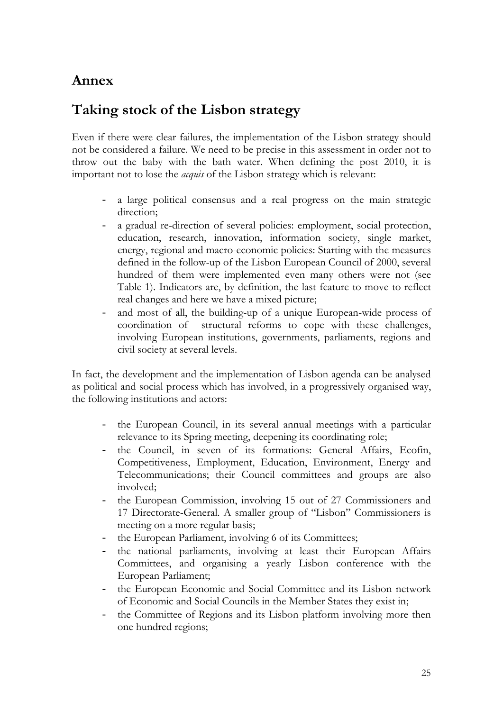# **Annex**

# **Taking stock of the Lisbon strategy**

Even if there were clear failures, the implementation of the Lisbon strategy should not be considered a failure. We need to be precise in this assessment in order not to throw out the baby with the bath water. When defining the post 2010, it is important not to lose the *acquis* of the Lisbon strategy which is relevant:

- a large political consensus and a real progress on the main strategic direction:
- a gradual re-direction of several policies: employment, social protection, education, research, innovation, information society, single market, energy, regional and macro-economic policies: Starting with the measures defined in the follow-up of the Lisbon European Council of 2000, several hundred of them were implemented even many others were not (see Table 1). Indicators are, by definition, the last feature to move to reflect real changes and here we have a mixed picture;
- and most of all, the building-up of a unique European-wide process of coordination of structural reforms to cope with these challenges, involving European institutions, governments, parliaments, regions and civil society at several levels.

In fact, the development and the implementation of Lisbon agenda can be analysed as political and social process which has involved, in a progressively organised way, the following institutions and actors:

- the European Council, in its several annual meetings with a particular relevance to its Spring meeting, deepening its coordinating role;
- the Council, in seven of its formations: General Affairs, Ecofin, Competitiveness, Employment, Education, Environment, Energy and Telecommunications; their Council committees and groups are also involved;
- the European Commission, involving 15 out of 27 Commissioners and 17 Directorate-General. A smaller group of "Lisbon" Commissioners is meeting on a more regular basis;
- the European Parliament, involving 6 of its Committees;
- the national parliaments, involving at least their European Affairs Committees, and organising a yearly Lisbon conference with the European Parliament;
- the European Economic and Social Committee and its Lisbon network of Economic and Social Councils in the Member States they exist in;
- the Committee of Regions and its Lisbon platform involving more then one hundred regions;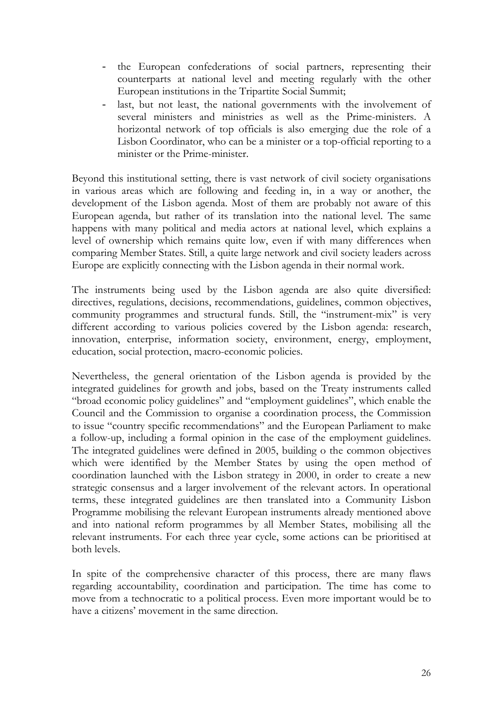- the European confederations of social partners, representing their counterparts at national level and meeting regularly with the other European institutions in the Tripartite Social Summit;
- last, but not least, the national governments with the involvement of several ministers and ministries as well as the Prime-ministers. A horizontal network of top officials is also emerging due the role of a Lisbon Coordinator, who can be a minister or a top-official reporting to a minister or the Prime-minister.

Beyond this institutional setting, there is vast network of civil society organisations in various areas which are following and feeding in, in a way or another, the development of the Lisbon agenda. Most of them are probably not aware of this European agenda, but rather of its translation into the national level. The same happens with many political and media actors at national level, which explains a level of ownership which remains quite low, even if with many differences when comparing Member States. Still, a quite large network and civil society leaders across Europe are explicitly connecting with the Lisbon agenda in their normal work.

The instruments being used by the Lisbon agenda are also quite diversified: directives, regulations, decisions, recommendations, guidelines, common objectives, community programmes and structural funds. Still, the "instrument-mix" is very different according to various policies covered by the Lisbon agenda: research, innovation, enterprise, information society, environment, energy, employment, education, social protection, macro-economic policies.

Nevertheless, the general orientation of the Lisbon agenda is provided by the integrated guidelines for growth and jobs, based on the Treaty instruments called "broad economic policy guidelines" and "employment guidelines", which enable the Council and the Commission to organise a coordination process, the Commission to issue "country specific recommendations" and the European Parliament to make a follow-up, including a formal opinion in the case of the employment guidelines. The integrated guidelines were defined in 2005, building o the common objectives which were identified by the Member States by using the open method of coordination launched with the Lisbon strategy in 2000, in order to create a new strategic consensus and a larger involvement of the relevant actors. In operational terms, these integrated guidelines are then translated into a Community Lisbon Programme mobilising the relevant European instruments already mentioned above and into national reform programmes by all Member States, mobilising all the relevant instruments. For each three year cycle, some actions can be prioritised at both levels.

In spite of the comprehensive character of this process, there are many flaws regarding accountability, coordination and participation. The time has come to move from a technocratic to a political process. Even more important would be to have a citizens' movement in the same direction.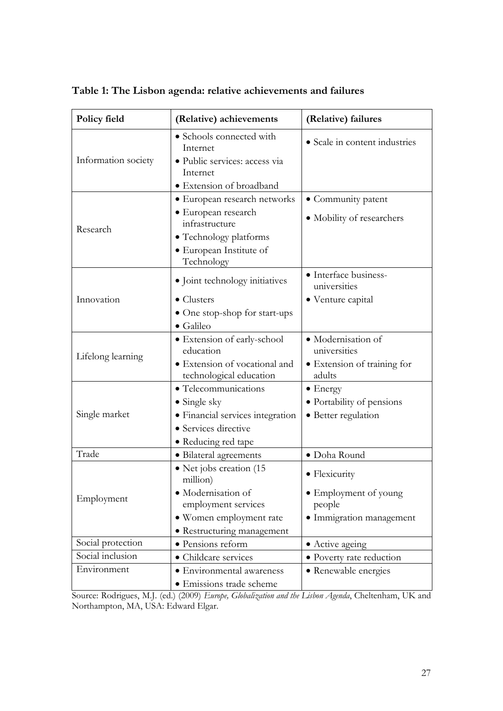| Policy field        | (Relative) achievements                                                                                                                                              | (Relative) failures                                                          |  |
|---------------------|----------------------------------------------------------------------------------------------------------------------------------------------------------------------|------------------------------------------------------------------------------|--|
| Information society | • Schools connected with<br>Internet<br>· Public services: access via<br>Internet                                                                                    | • Scale in content industries                                                |  |
| Research            | • Extension of broadband<br>• European research networks<br>• European research<br>infrastructure<br>• Technology platforms<br>· European Institute of<br>Technology | • Community patent<br>• Mobility of researchers                              |  |
| Innovation          | • Joint technology initiatives<br>$\bullet$ Clusters<br>• One stop-shop for start-ups<br>$\bullet$ Galileo                                                           | · Interface business-<br>universities<br>• Venture capital                   |  |
| Lifelong learning   | · Extension of early-school<br>education<br>· Extension of vocational and<br>technological education                                                                 | · Modernisation of<br>universities<br>• Extension of training for<br>adults  |  |
| Single market       | • Telecommunications<br>$\bullet$ Single sky<br>• Financial services integration<br>• Services directive<br>• Reducing red tape                                      | $\bullet$ Energy<br>· Portability of pensions<br>• Better regulation         |  |
| Trade               | • Bilateral agreements                                                                                                                                               | · Doha Round                                                                 |  |
| Employment          | • Net jobs creation (15<br>million)<br>· Modernisation of<br>employment services<br>• Women employment rate<br>• Restructuring management                            | • Flexicurity<br>• Employment of young<br>people<br>· Immigration management |  |
| Social protection   | · Pensions reform                                                                                                                                                    | • Active ageing                                                              |  |
| Social inclusion    | • Childcare services                                                                                                                                                 | · Poverty rate reduction                                                     |  |
| Environment         | • Environmental awareness<br>· Emissions trade scheme                                                                                                                | • Renewable energies                                                         |  |

**Table 1: The Lisbon agenda: relative achievements and failures** 

Source: Rodrigues, M.J. (ed.) (2009) *Europe, Globalization and the Lisbon Agenda*, Cheltenham, UK and Northampton, MA, USA: Edward Elgar.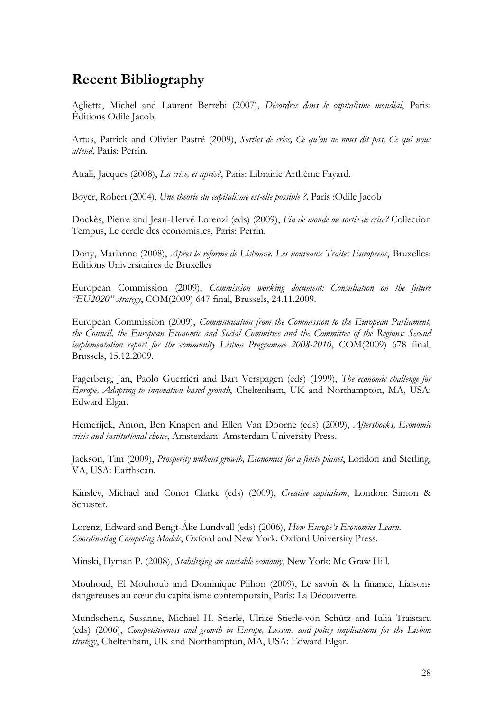# **Recent Bibliography**

Aglietta, Michel and Laurent Berrebi (2007), *Désordres dans le capitalisme mondial*, Paris: Éditions Odile Jacob.

Artus, Patrick and Olivier Pastré (2009), *Sorties de crise, Ce qu'on ne nous dit pas, Ce qui nous attend*, Paris: Perrin.

Attali, Jacques (2008), *La crise, et aprés?*, Paris: Librairie Arthème Fayard.

Boyer, Robert (2004), *Une theorie du capitalisme est-elle possible ?,* Paris :Odile Jacob

Dockès, Pierre and Jean-Hervé Lorenzi (eds) (2009), *Fin de monde ou sortie de crise?* Collection Tempus, Le cercle des économistes, Paris: Perrin.

Dony, Marianne (2008), *Apres la reforme de Lisbonne. Les nouveaux Traites Europeens*, Bruxelles: Editions Universitaires de Bruxelles

European Commission (2009), *Commission working document: Consultation on the future "EU2020" strategy*, COM(2009) 647 final, Brussels, 24.11.2009.

European Commission (2009), *Communication from the Commission to the European Parliament, the Council, the European Economic and Social Committee and the Committee of the Regions: Second implementation report for the community Lisbon Programme 2008-2010*, COM(2009) 678 final, Brussels, 15.12.2009.

Fagerberg, Jan, Paolo Guerrieri and Bart Verspagen (eds) (1999), *The economic challenge for Europe, Adapting to innovation based growth*, Cheltenham, UK and Northampton, MA, USA: Edward Elgar.

Hemerijck, Anton, Ben Knapen and Ellen Van Doorne (eds) (2009), *Aftershocks, Economic crisis and institutional choice*, Amsterdam: Amsterdam University Press.

Jackson, Tim (2009), *Prosperity without growth, Economics for a finite planet*, London and Sterling, VA, USA: Earthscan.

Kinsley, Michael and Conor Clarke (eds) (2009), *Creative capitalism*, London: Simon & Schuster.

Lorenz, Edward and Bengt-Åke Lundvall (eds) (2006), How Europe's Economies Learn. *Coordinating Competing Models*, Oxford and New York: Oxford University Press.

Minski, Hyman P. (2008), *Stabilizing an unstable economy*, New York: Mc Graw Hill.

Mouhoud, El Mouhoub and Dominique Plihon (2009), Le savoir & la finance, Liaisons dangereuses au cœur du capitalisme contemporain, Paris: La Découverte.

Mundschenk, Susanne, Michael H. Stierle, Ulrike Stierle-von Schütz and Iulia Traistaru (eds) (2006), *Competitiveness and growth in Europe, Lessons and policy implications for the Lisbon strategy*, Cheltenham, UK and Northampton, MA, USA: Edward Elgar.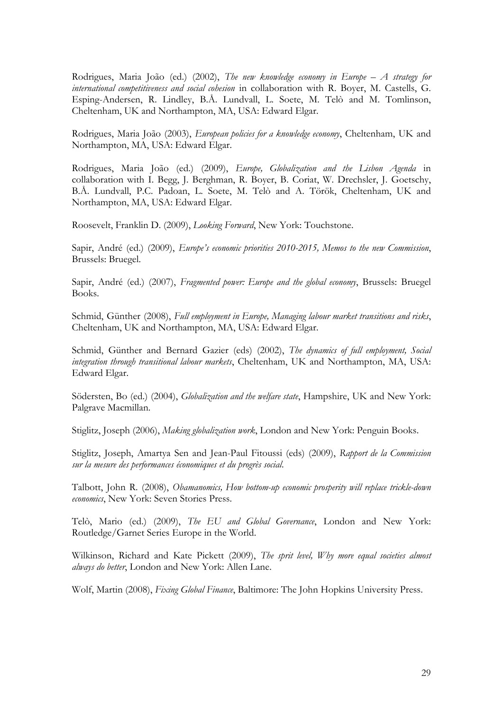Rodrigues, Maria João (ed.) (2002), *The new knowledge economy in Europe – A strategy for international competitiveness and social cohesion* in collaboration with R. Boyer, M. Castells, G. Esping-Andersen, R. Lindley, B.Å. Lundvall, L. Soete, M. Telò and M. Tomlinson, Cheltenham, UK and Northampton, MA, USA: Edward Elgar.

Rodrigues, Maria João (2003), *European policies for a knowledge economy*, Cheltenham, UK and Northampton, MA, USA: Edward Elgar.

Rodrigues, Maria João (ed.) (2009), *Europe, Globalization and the Lisbon Agenda* in collaboration with I. Begg, J. Berghman, R. Boyer, B. Coriat, W. Drechsler, J. Goetschy, B.Å. Lundvall, P.C. Padoan, L. Soete, M. Telò and A. Török, Cheltenham, UK and Northampton, MA, USA: Edward Elgar.

Roosevelt, Franklin D. (2009), *Looking Forward*, New York: Touchstone.

Sapir, André (ed.) (2009), *Europe's economic priorities 2010-2015, Memos to the new Commission*, Brussels: Bruegel.

Sapir, André (ed.) (2007), *Fragmented power: Europe and the global economy*, Brussels: Bruegel Books.

Schmid, Günther (2008), *Full employment in Europe, Managing labour market transitions and risks*, Cheltenham, UK and Northampton, MA, USA: Edward Elgar.

Schmid, Günther and Bernard Gazier (eds) (2002), *The dynamics of full employment, Social integration through transitional labour markets*, Cheltenham, UK and Northampton, MA, USA: Edward Elgar.

Södersten, Bo (ed.) (2004), *Globalization and the welfare state*, Hampshire, UK and New York: Palgrave Macmillan.

Stiglitz, Joseph (2006), *Making globalization work*, London and New York: Penguin Books.

Stiglitz, Joseph, Amartya Sen and Jean-Paul Fitoussi (eds) (2009), *Rapport de la Commission sur la mesure des performances économiques et du progrès social*.

Talbott, John R. (2008), *Obamanomics, How bottom-up economic prosperity will replace trickle-down economics*, New York: Seven Stories Press.

Telò, Mario (ed.) (2009), *The EU and Global Governance*, London and New York: Routledge/Garnet Series Europe in the World.

Wilkinson, Richard and Kate Pickett (2009), *The sprit level, Why more equal societies almost always do better*, London and New York: Allen Lane.

Wolf, Martin (2008), *Fixing Global Finance*, Baltimore: The John Hopkins University Press.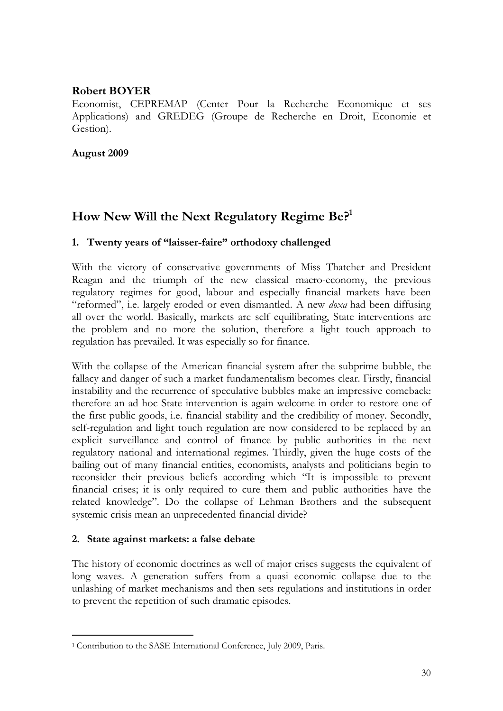# **Robert BOYER**

Economist, CEPREMAP (Center Pour la Recherche Economique et ses Applications) and GREDEG (Groupe de Recherche en Droit, Economie et Gestion).

#### **August 2009**

# **How New Will the Next Regulatory Regime Be?1**

#### **1. Twenty years of "laisser-faire" orthodoxy challenged**

With the victory of conservative governments of Miss Thatcher and President Reagan and the triumph of the new classical macro-economy, the previous regulatory regimes for good, labour and especially financial markets have been "reformed", i.e. largely eroded or even dismantled. A new *doxa* had been diffusing all over the world. Basically, markets are self equilibrating, State interventions are the problem and no more the solution, therefore a light touch approach to regulation has prevailed. It was especially so for finance.

With the collapse of the American financial system after the subprime bubble, the fallacy and danger of such a market fundamentalism becomes clear. Firstly, financial instability and the recurrence of speculative bubbles make an impressive comeback: therefore an ad hoc State intervention is again welcome in order to restore one of the first public goods, i.e. financial stability and the credibility of money. Secondly, self-regulation and light touch regulation are now considered to be replaced by an explicit surveillance and control of finance by public authorities in the next regulatory national and international regimes. Thirdly, given the huge costs of the bailing out of many financial entities, economists, analysts and politicians begin to reconsider their previous beliefs according which "It is impossible to prevent financial crises; it is only required to cure them and public authorities have the related knowledge". Do the collapse of Lehman Brothers and the subsequent systemic crisis mean an unprecedented financial divide?

#### **2. State against markets: a false debate**

The history of economic doctrines as well of major crises suggests the equivalent of long waves. A generation suffers from a quasi economic collapse due to the unlashing of market mechanisms and then sets regulations and institutions in order to prevent the repetition of such dramatic episodes.

<sup>-</sup><sup>1</sup> Contribution to the SASE International Conference, July 2009, Paris.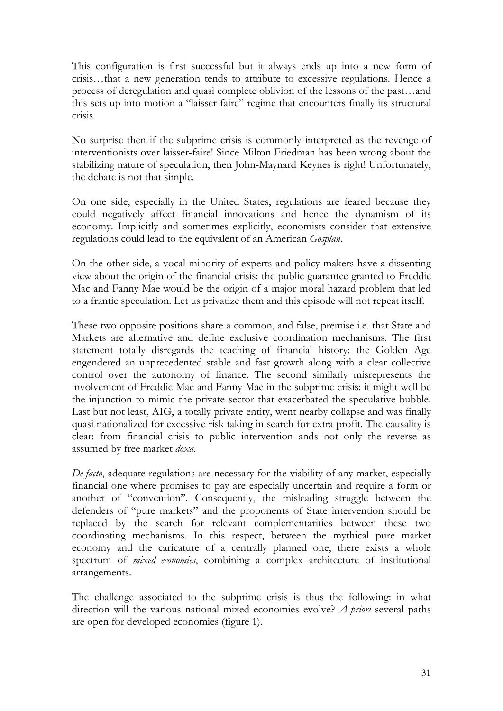This configuration is first successful but it always ends up into a new form of crisis…that a new generation tends to attribute to excessive regulations. Hence a process of deregulation and quasi complete oblivion of the lessons of the past…and this sets up into motion a "laisser-faire" regime that encounters finally its structural crisis.

No surprise then if the subprime crisis is commonly interpreted as the revenge of interventionists over laisser-faire! Since Milton Friedman has been wrong about the stabilizing nature of speculation, then John-Maynard Keynes is right! Unfortunately, the debate is not that simple.

On one side, especially in the United States, regulations are feared because they could negatively affect financial innovations and hence the dynamism of its economy. Implicitly and sometimes explicitly, economists consider that extensive regulations could lead to the equivalent of an American *Gosplan*.

On the other side, a vocal minority of experts and policy makers have a dissenting view about the origin of the financial crisis: the public guarantee granted to Freddie Mac and Fanny Mae would be the origin of a major moral hazard problem that led to a frantic speculation. Let us privatize them and this episode will not repeat itself.

These two opposite positions share a common, and false, premise i.e. that State and Markets are alternative and define exclusive coordination mechanisms. The first statement totally disregards the teaching of financial history: the Golden Age engendered an unprecedented stable and fast growth along with a clear collective control over the autonomy of finance. The second similarly misrepresents the involvement of Freddie Mac and Fanny Mae in the subprime crisis: it might well be the injunction to mimic the private sector that exacerbated the speculative bubble. Last but not least, AIG, a totally private entity, went nearby collapse and was finally quasi nationalized for excessive risk taking in search for extra profit. The causality is clear: from financial crisis to public intervention ands not only the reverse as assumed by free market *doxa*.

*De facto*, adequate regulations are necessary for the viability of any market, especially financial one where promises to pay are especially uncertain and require a form or another of "convention". Consequently, the misleading struggle between the defenders of "pure markets" and the proponents of State intervention should be replaced by the search for relevant complementarities between these two coordinating mechanisms. In this respect, between the mythical pure market economy and the caricature of a centrally planned one, there exists a whole spectrum of *mixed economies*, combining a complex architecture of institutional arrangements.

The challenge associated to the subprime crisis is thus the following: in what direction will the various national mixed economies evolve? *A priori* several paths are open for developed economies (figure 1).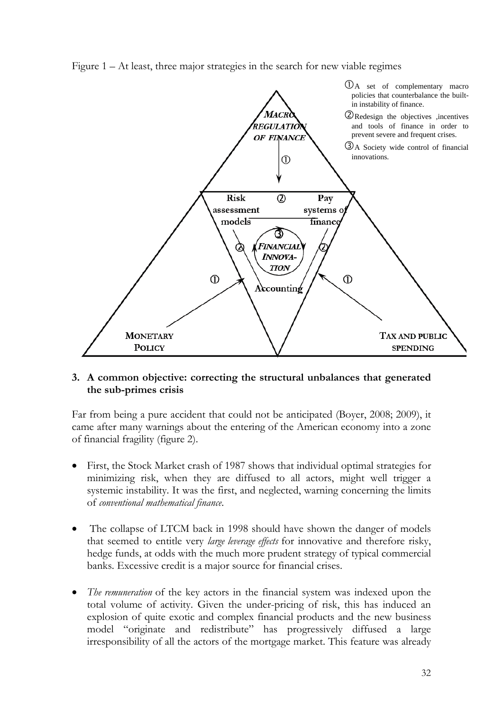Figure 1 – At least, three major strategies in the search for new viable regimes



#### **3. A common objective: correcting the structural unbalances that generated the sub-primes crisis**

Far from being a pure accident that could not be anticipated (Boyer, 2008; 2009), it came after many warnings about the entering of the American economy into a zone of financial fragility (figure 2).

- First, the Stock Market crash of 1987 shows that individual optimal strategies for minimizing risk, when they are diffused to all actors, might well trigger a systemic instability. It was the first, and neglected, warning concerning the limits of *conventional mathematical finance*.
- The collapse of LTCM back in 1998 should have shown the danger of models that seemed to entitle very *large leverage effects* for innovative and therefore risky, hedge funds, at odds with the much more prudent strategy of typical commercial banks. Excessive credit is a major source for financial crises.
- *The remuneration* of the key actors in the financial system was indexed upon the total volume of activity. Given the under-pricing of risk, this has induced an explosion of quite exotic and complex financial products and the new business model "originate and redistribute" has progressively diffused a large irresponsibility of all the actors of the mortgage market. This feature was already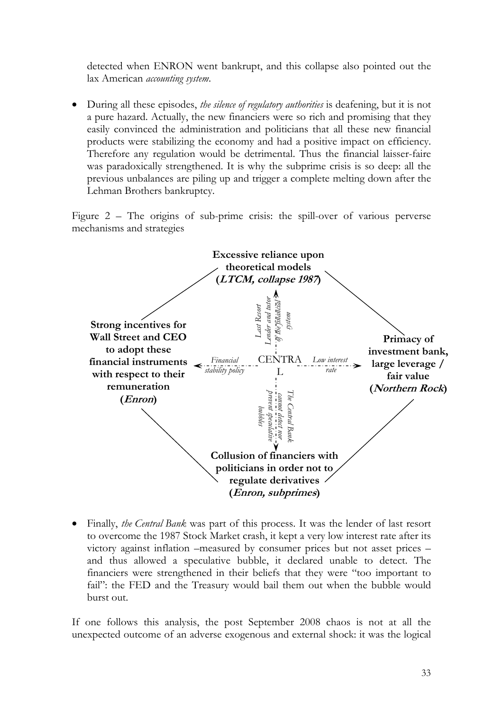detected when ENRON went bankrupt, and this collapse also pointed out the lax American *accounting system*.

• During all these episodes, *the silence of regulatory authorities* is deafening, but it is not a pure hazard. Actually, the new financiers were so rich and promising that they easily convinced the administration and politicians that all these new financial products were stabilizing the economy and had a positive impact on efficiency. Therefore any regulation would be detrimental. Thus the financial laisser-faire was paradoxically strengthened. It is why the subprime crisis is so deep: all the previous unbalances are piling up and trigger a complete melting down after the Lehman Brothers bankruptcy.

Figure 2 – The origins of sub-prime crisis: the spill-over of various perverse mechanisms and strategies



• Finally, *the Central Bank* was part of this process. It was the lender of last resort to overcome the 1987 Stock Market crash, it kept a very low interest rate after its victory against inflation –measured by consumer prices but not asset prices – and thus allowed a speculative bubble, it declared unable to detect. The financiers were strengthened in their beliefs that they were "too important to fail": the FED and the Treasury would bail them out when the bubble would burst out.

If one follows this analysis, the post September 2008 chaos is not at all the unexpected outcome of an adverse exogenous and external shock: it was the logical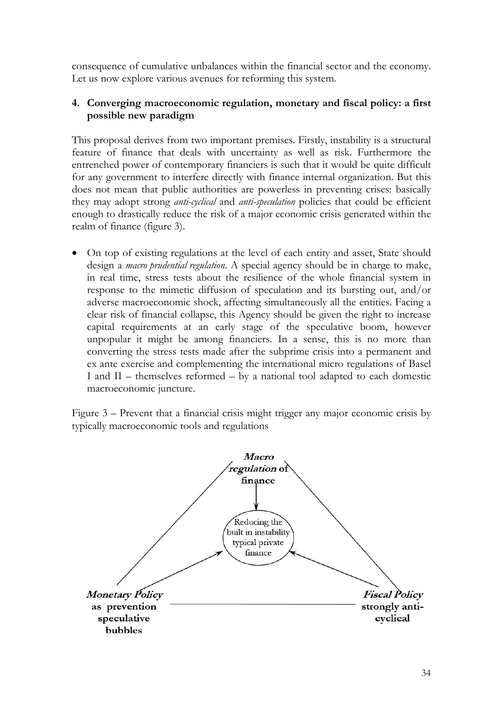consequence of cumulative unbalances within the financial sector and the economy. Let us now explore various avenues for reforming this system.

#### **4. Converging macroeconomic regulation, monetary and fiscal policy: a first possible new paradigm**

This proposal derives from two important premises. Firstly, instability is a structural feature of finance that deals with uncertainty as well as risk. Furthermore the entrenched power of contemporary financiers is such that it would be quite difficult for any government to interfere directly with finance internal organization. But this does not mean that public authorities are powerless in preventing crises: basically they may adopt strong *anti-cyclical* and *anti-speculation* policies that could be efficient enough to drastically reduce the risk of a major economic crisis generated within the realm of finance (figure 3).

• On top of existing regulations at the level of each entity and asset, State should design a *macro prudential regulation*. A special agency should be in charge to make, in real time, stress tests about the resilience of the whole financial system in response to the mimetic diffusion of speculation and its bursting out, and/or adverse macroeconomic shock, affecting simultaneously all the entities. Facing a clear risk of financial collapse, this Agency should be given the right to increase capital requirements at an early stage of the speculative boom, however unpopular it might be among financiers. In a sense, this is no more than converting the stress tests made after the subprime crisis into a permanent and ex ante exercise and complementing the international micro regulations of Basel I and II – themselves reformed – by a national tool adapted to each domestic macroeconomic juncture.

Figure 3 – Prevent that a financial crisis might trigger any major economic crisis by typically macroeconomic tools and regulations

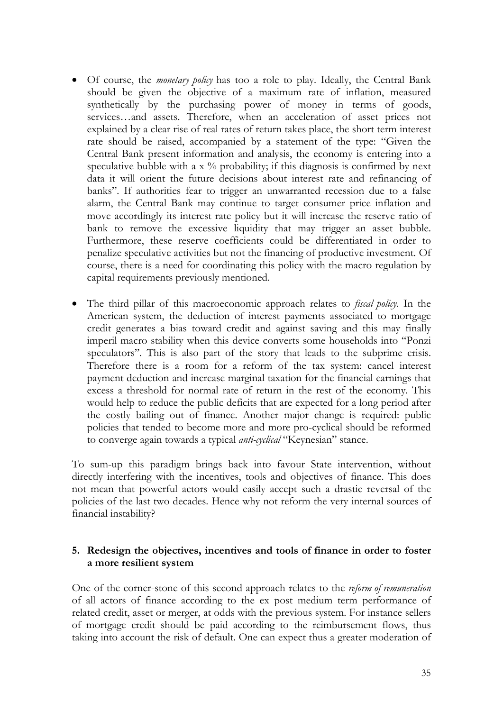- Of course, the *monetary policy* has too a role to play. Ideally, the Central Bank should be given the objective of a maximum rate of inflation, measured synthetically by the purchasing power of money in terms of goods, services…and assets. Therefore, when an acceleration of asset prices not explained by a clear rise of real rates of return takes place, the short term interest rate should be raised, accompanied by a statement of the type: "Given the Central Bank present information and analysis, the economy is entering into a speculative bubble with a  $x$  % probability; if this diagnosis is confirmed by next data it will orient the future decisions about interest rate and refinancing of banks". If authorities fear to trigger an unwarranted recession due to a false alarm, the Central Bank may continue to target consumer price inflation and move accordingly its interest rate policy but it will increase the reserve ratio of bank to remove the excessive liquidity that may trigger an asset bubble. Furthermore, these reserve coefficients could be differentiated in order to penalize speculative activities but not the financing of productive investment. Of course, there is a need for coordinating this policy with the macro regulation by capital requirements previously mentioned.
- The third pillar of this macroeconomic approach relates to *fiscal policy*. In the American system, the deduction of interest payments associated to mortgage credit generates a bias toward credit and against saving and this may finally imperil macro stability when this device converts some households into "Ponzi speculators". This is also part of the story that leads to the subprime crisis. Therefore there is a room for a reform of the tax system: cancel interest payment deduction and increase marginal taxation for the financial earnings that excess a threshold for normal rate of return in the rest of the economy. This would help to reduce the public deficits that are expected for a long period after the costly bailing out of finance. Another major change is required: public policies that tended to become more and more pro-cyclical should be reformed to converge again towards a typical *anti-cyclical* "Keynesian" stance.

To sum-up this paradigm brings back into favour State intervention, without directly interfering with the incentives, tools and objectives of finance. This does not mean that powerful actors would easily accept such a drastic reversal of the policies of the last two decades. Hence why not reform the very internal sources of financial instability?

#### **5. Redesign the objectives, incentives and tools of finance in order to foster a more resilient system**

One of the corner-stone of this second approach relates to the *reform of remuneration* of all actors of finance according to the ex post medium term performance of related credit, asset or merger, at odds with the previous system. For instance sellers of mortgage credit should be paid according to the reimbursement flows, thus taking into account the risk of default. One can expect thus a greater moderation of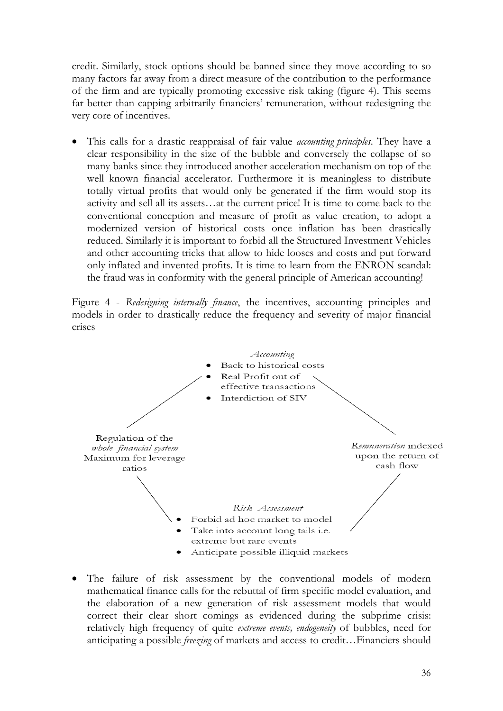credit. Similarly, stock options should be banned since they move according to so many factors far away from a direct measure of the contribution to the performance of the firm and are typically promoting excessive risk taking (figure 4). This seems far better than capping arbitrarily financiers' remuneration, without redesigning the very core of incentives.

• This calls for a drastic reappraisal of fair value *accounting principles*. They have a clear responsibility in the size of the bubble and conversely the collapse of so many banks since they introduced another acceleration mechanism on top of the well known financial accelerator. Furthermore it is meaningless to distribute totally virtual profits that would only be generated if the firm would stop its activity and sell all its assets…at the current price! It is time to come back to the conventional conception and measure of profit as value creation, to adopt a modernized version of historical costs once inflation has been drastically reduced. Similarly it is important to forbid all the Structured Investment Vehicles and other accounting tricks that allow to hide looses and costs and put forward only inflated and invented profits. It is time to learn from the ENRON scandal: the fraud was in conformity with the general principle of American accounting!

Figure 4 - *Redesigning internally finance*, the incentives, accounting principles and models in order to drastically reduce the frequency and severity of major financial crises



The failure of risk assessment by the conventional models of modern mathematical finance calls for the rebuttal of firm specific model evaluation, and the elaboration of a new generation of risk assessment models that would correct their clear short comings as evidenced during the subprime crisis: relatively high frequency of quite *extreme events, endogeneity* of bubbles, need for anticipating a possible *freezing* of markets and access to credit…Financiers should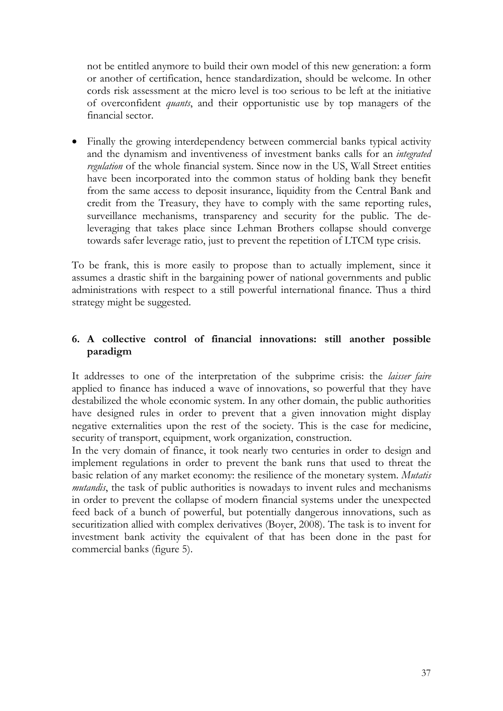not be entitled anymore to build their own model of this new generation: a form or another of certification, hence standardization, should be welcome. In other cords risk assessment at the micro level is too serious to be left at the initiative of overconfident *quants*, and their opportunistic use by top managers of the financial sector.

• Finally the growing interdependency between commercial banks typical activity and the dynamism and inventiveness of investment banks calls for an *integrated regulation* of the whole financial system. Since now in the US, Wall Street entities have been incorporated into the common status of holding bank they benefit from the same access to deposit insurance, liquidity from the Central Bank and credit from the Treasury, they have to comply with the same reporting rules, surveillance mechanisms, transparency and security for the public. The deleveraging that takes place since Lehman Brothers collapse should converge towards safer leverage ratio, just to prevent the repetition of LTCM type crisis.

To be frank, this is more easily to propose than to actually implement, since it assumes a drastic shift in the bargaining power of national governments and public administrations with respect to a still powerful international finance. Thus a third strategy might be suggested.

#### **6. A collective control of financial innovations: still another possible paradigm**

It addresses to one of the interpretation of the subprime crisis: the *laisser faire* applied to finance has induced a wave of innovations, so powerful that they have destabilized the whole economic system. In any other domain, the public authorities have designed rules in order to prevent that a given innovation might display negative externalities upon the rest of the society. This is the case for medicine, security of transport, equipment, work organization, construction.

In the very domain of finance, it took nearly two centuries in order to design and implement regulations in order to prevent the bank runs that used to threat the basic relation of any market economy: the resilience of the monetary system. *Mutatis mutandis*, the task of public authorities is nowadays to invent rules and mechanisms in order to prevent the collapse of modern financial systems under the unexpected feed back of a bunch of powerful, but potentially dangerous innovations, such as securitization allied with complex derivatives (Boyer, 2008). The task is to invent for investment bank activity the equivalent of that has been done in the past for commercial banks (figure 5).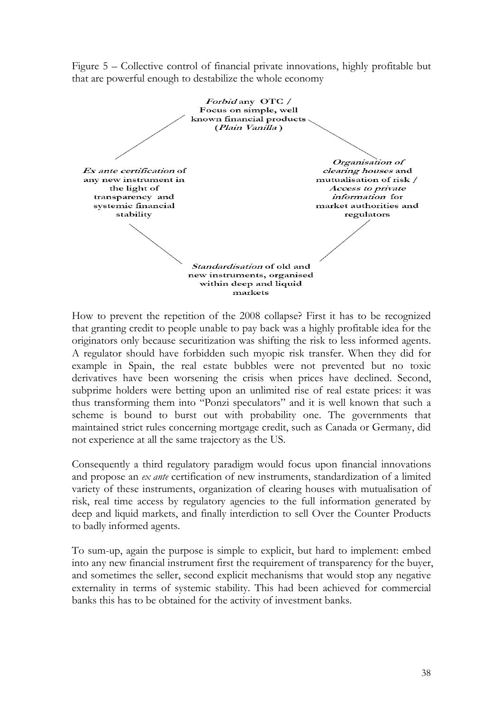Figure 5 – Collective control of financial private innovations, highly profitable but that are powerful enough to destabilize the whole economy



How to prevent the repetition of the 2008 collapse? First it has to be recognized that granting credit to people unable to pay back was a highly profitable idea for the originators only because securitization was shifting the risk to less informed agents. A regulator should have forbidden such myopic risk transfer. When they did for example in Spain, the real estate bubbles were not prevented but no toxic derivatives have been worsening the crisis when prices have declined. Second, subprime holders were betting upon an unlimited rise of real estate prices: it was thus transforming them into "Ponzi speculators" and it is well known that such a scheme is bound to burst out with probability one. The governments that maintained strict rules concerning mortgage credit, such as Canada or Germany, did not experience at all the same trajectory as the US.

Consequently a third regulatory paradigm would focus upon financial innovations and propose an *ex ante* certification of new instruments, standardization of a limited variety of these instruments, organization of clearing houses with mutualisation of risk, real time access by regulatory agencies to the full information generated by deep and liquid markets, and finally interdiction to sell Over the Counter Products to badly informed agents.

To sum-up, again the purpose is simple to explicit, but hard to implement: embed into any new financial instrument first the requirement of transparency for the buyer, and sometimes the seller, second explicit mechanisms that would stop any negative externality in terms of systemic stability. This had been achieved for commercial banks this has to be obtained for the activity of investment banks.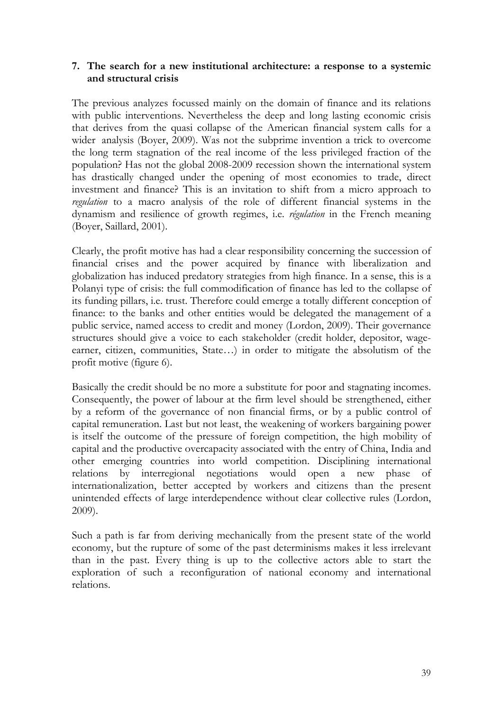#### **7. The search for a new institutional architecture: a response to a systemic and structural crisis**

The previous analyzes focussed mainly on the domain of finance and its relations with public interventions. Nevertheless the deep and long lasting economic crisis that derives from the quasi collapse of the American financial system calls for a wider analysis (Boyer, 2009). Was not the subprime invention a trick to overcome the long term stagnation of the real income of the less privileged fraction of the population? Has not the global 2008-2009 recession shown the international system has drastically changed under the opening of most economies to trade, direct investment and finance? This is an invitation to shift from a micro approach to *regulation* to a macro analysis of the role of different financial systems in the dynamism and resilience of growth regimes, i.e. *régulation* in the French meaning (Boyer, Saillard, 2001).

Clearly, the profit motive has had a clear responsibility concerning the succession of financial crises and the power acquired by finance with liberalization and globalization has induced predatory strategies from high finance. In a sense, this is a Polanyi type of crisis: the full commodification of finance has led to the collapse of its funding pillars, i.e. trust. Therefore could emerge a totally different conception of finance: to the banks and other entities would be delegated the management of a public service, named access to credit and money (Lordon, 2009). Their governance structures should give a voice to each stakeholder (credit holder, depositor, wageearner, citizen, communities, State…) in order to mitigate the absolutism of the profit motive (figure 6).

Basically the credit should be no more a substitute for poor and stagnating incomes. Consequently, the power of labour at the firm level should be strengthened, either by a reform of the governance of non financial firms, or by a public control of capital remuneration. Last but not least, the weakening of workers bargaining power is itself the outcome of the pressure of foreign competition, the high mobility of capital and the productive overcapacity associated with the entry of China, India and other emerging countries into world competition. Disciplining international relations by interregional negotiations would open a new phase of internationalization, better accepted by workers and citizens than the present unintended effects of large interdependence without clear collective rules (Lordon, 2009).

Such a path is far from deriving mechanically from the present state of the world economy, but the rupture of some of the past determinisms makes it less irrelevant than in the past. Every thing is up to the collective actors able to start the exploration of such a reconfiguration of national economy and international relations.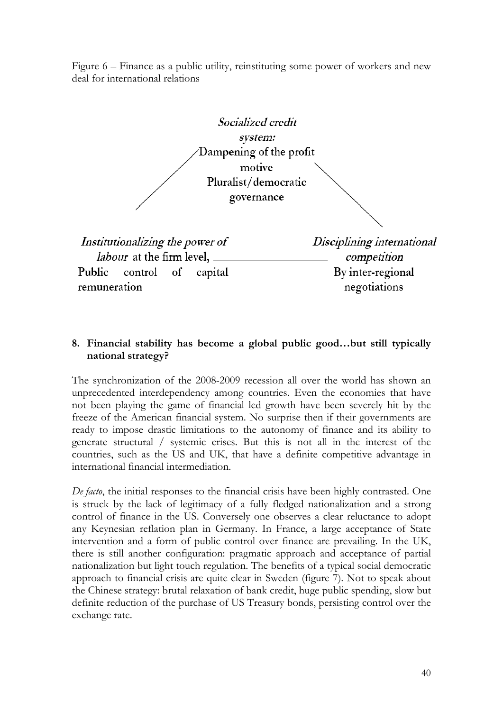Figure 6 – Finance as a public utility, reinstituting some power of workers and new deal for international relations



#### **8. Financial stability has become a global public good…but still typically national strategy?**

The synchronization of the 2008-2009 recession all over the world has shown an unprecedented interdependency among countries. Even the economies that have not been playing the game of financial led growth have been severely hit by the freeze of the American financial system. No surprise then if their governments are ready to impose drastic limitations to the autonomy of finance and its ability to generate structural / systemic crises. But this is not all in the interest of the countries, such as the US and UK, that have a definite competitive advantage in international financial intermediation.

*De facto*, the initial responses to the financial crisis have been highly contrasted. One is struck by the lack of legitimacy of a fully fledged nationalization and a strong control of finance in the US. Conversely one observes a clear reluctance to adopt any Keynesian reflation plan in Germany. In France, a large acceptance of State intervention and a form of public control over finance are prevailing. In the UK, there is still another configuration: pragmatic approach and acceptance of partial nationalization but light touch regulation. The benefits of a typical social democratic approach to financial crisis are quite clear in Sweden (figure 7). Not to speak about the Chinese strategy: brutal relaxation of bank credit, huge public spending, slow but definite reduction of the purchase of US Treasury bonds, persisting control over the exchange rate.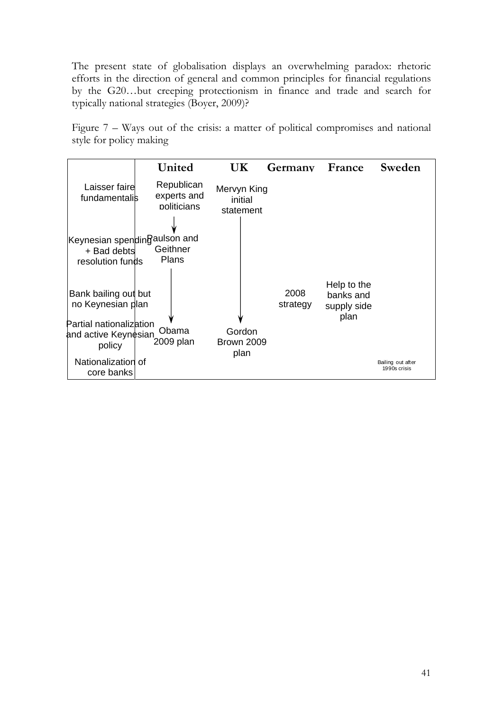The present state of globalisation displays an overwhelming paradox: rhetoric efforts in the direction of general and common principles for financial regulations by the G20…but creeping protectionism in finance and trade and search for typically national strategies (Boyer, 2009)?

Figure 7 – Ways out of the crisis: a matter of political compromises and national style for policy making

|                                                                 | United                                   | UК                                  | Germany          | France                                          | Sweden                            |
|-----------------------------------------------------------------|------------------------------------------|-------------------------------------|------------------|-------------------------------------------------|-----------------------------------|
| Laisser faire<br>fundamentalis                                  | Republican<br>experts and<br>politicians | Mervyn King<br>initial<br>statement |                  |                                                 |                                   |
| Keynesian spendinRaulson and<br>+ Bad debts<br>resolution funds | Geithner<br>Plans                        |                                     |                  |                                                 |                                   |
| Bank bailing out but<br>no Keynesian plan                       |                                          |                                     | 2008<br>strategy | Help to the<br>banks and<br>supply side<br>plan |                                   |
| Partial nationalization<br>and active Keynesian<br>policy       | Obama<br>2009 plan                       | Gordon<br><b>Brown 2009</b><br>plan |                  |                                                 |                                   |
| Nationalization of<br>core banks                                |                                          |                                     |                  |                                                 | Bailing out after<br>1990s crisis |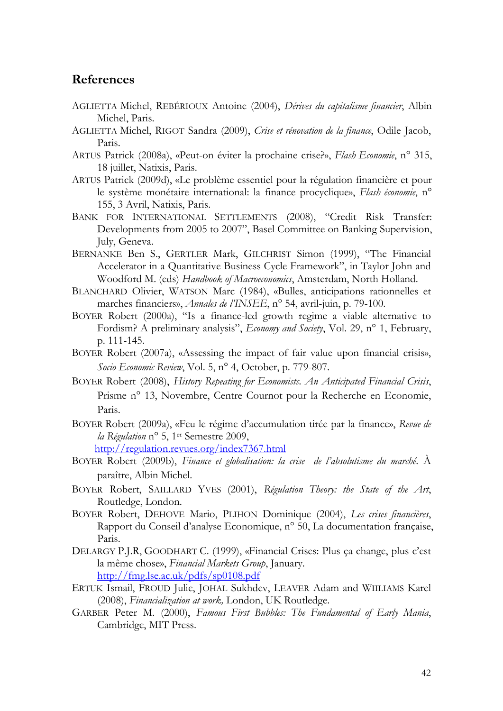#### **References**

- AGLIETTA Michel, REBÉRIOUX Antoine (2004), *Dérives du capitalisme financier*, Albin Michel, Paris.
- AGLIETTA Michel, RIGOT Sandra (2009), *Crise et rénovation de la finance*, Odile Jacob, Paris.
- ARTUS Patrick (2008a), «Peut-on éviter la prochaine crise?», *Flash Economie*, n° 315, 18 juillet, Natixis, Paris.
- ARTUS Patrick (2009d), «Le problème essentiel pour la régulation financière et pour le système monétaire international: la finance procyclique», *Flash économie*, n° 155, 3 Avril, Natixis, Paris.
- BANK FOR INTERNATIONAL SETTLEMENTS (2008), "Credit Risk Transfer: Developments from 2005 to 2007", Basel Committee on Banking Supervision, July, Geneva.
- BERNANKE Ben S., GERTLER Mark, GILCHRIST Simon (1999), "The Financial Accelerator in a Quantitative Business Cycle Framework", in Taylor John and Woodford M. (eds) *Handbook of Macroeconomics*, Amsterdam, North Holland.
- BLANCHARD Olivier, WATSON Marc (1984), «Bulles, anticipations rationnelles et marches financiers», *Annales de l'INSEE*, n° 54, avril-juin, p. 79-100.
- BOYER Robert (2000a), "Is a finance-led growth regime a viable alternative to Fordism? A preliminary analysis", *Economy and Society*, Vol. 29, n° 1, February, p. 111-145.
- BOYER Robert (2007a), «Assessing the impact of fair value upon financial crisis», *Socio Economic Review*, Vol. 5, n° 4, October, p. 779-807.
- BOYER Robert (2008), *History Repeating for Economists. An Anticipated Financial Crisis*, Prisme n° 13, Novembre, Centre Cournot pour la Recherche en Economie, Paris.
- BOYER Robert (2009a), «Feu le régime d'accumulation tirée par la finance», *Revue de la Régulation* n° 5, 1er Semestre 2009,

http://regulation.revues.org/index7367.html

- BOYER Robert (2009b), *Finance et globalisation: la crise de l'absolutisme du marché*. À paraître, Albin Michel.
- BOYER Robert, SAILLARD YVES (2001), *Régulation Theory: the State of the Art*, Routledge, London.
- BOYER Robert, DEHOVE Mario, PLIHON Dominique (2004), *Les crises financières*, Rapport du Conseil d'analyse Economique, n° 50, La documentation française, Paris.
- DELARGY P.J.R, GOODHART C. (1999), «Financial Crises: Plus ça change, plus c'est la même chose», *Financial Markets Group*, January. http://fmg.lse.ac.uk/pdfs/sp0108.pdf
- ERTUK Ismail, FROUD Julie, JOHAL Sukhdev, LEAVER Adam and WIILIAMS Karel (2008), *Financialization at work,* London, UK Routledge.
- GARBER Peter M. (2000), *Famous First Bubbles: The Fundamental of Early Mania*, Cambridge, MIT Press.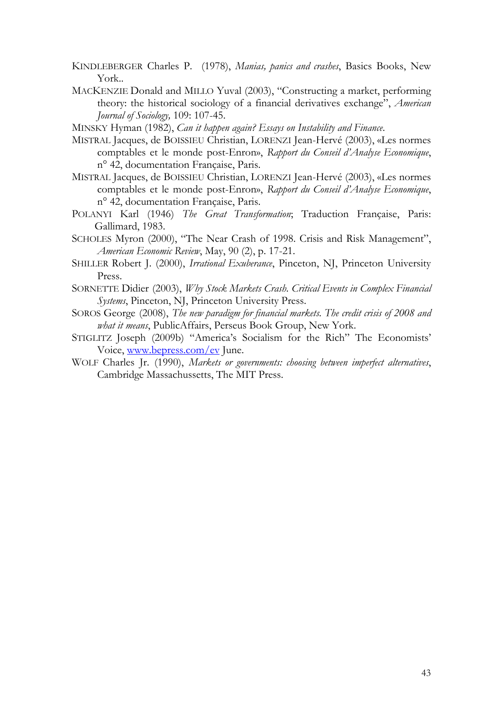- KINDLEBERGER Charles P. (1978), *Manias, panics and crashes*, Basics Books, New York..
- MACKENZIE Donald and MILLO Yuval (2003), "Constructing a market, performing theory: the historical sociology of a financial derivatives exchange", *American Journal of Sociology,* 109: 107-45.

MINSKY Hyman (1982), *Can it happen again? Essays on Instability and Finance*.

- MISTRAL Jacques, de BOISSIEU Christian, LORENZI Jean-Hervé (2003), «Les normes comptables et le monde post-Enron», *Rapport du Conseil d'Analyse Economique*, n° 42, documentation Française, Paris.
- MISTRAL Jacques, de BOISSIEU Christian, LORENZI Jean-Hervé (2003), «Les normes comptables et le monde post-Enron», *Rapport du Conseil d'Analyse Economique*, n° 42, documentation Française, Paris.
- POLANYI Karl (1946) *The Great Transformation*; Traduction Française, Paris: Gallimard, 1983.
- SCHOLES Myron (2000), "The Near Crash of 1998. Crisis and Risk Management", *American Economic Review*, May, 90 (2), p. 17-21.
- SHILLER Robert J. (2000), *Irrational Exuberance*, Pinceton, NJ, Princeton University Press.
- SORNETTE Didier (2003), *Why Stock Markets Crash. Critical Events in Complex Financial Systems*, Pinceton, NJ, Princeton University Press.
- SOROS George (2008), *The new paradigm for financial markets. The credit crisis of 2008 and what it means*, PublicAffairs, Perseus Book Group, New York.
- STIGLITZ Joseph (2009b) "America's Socialism for the Rich" The Economists' Voice, www.bepress.com/ev June.
- WOLF Charles Jr. (1990), *Markets or governments: choosing between imperfect alternatives*, Cambridge Massachussetts, The MIT Press.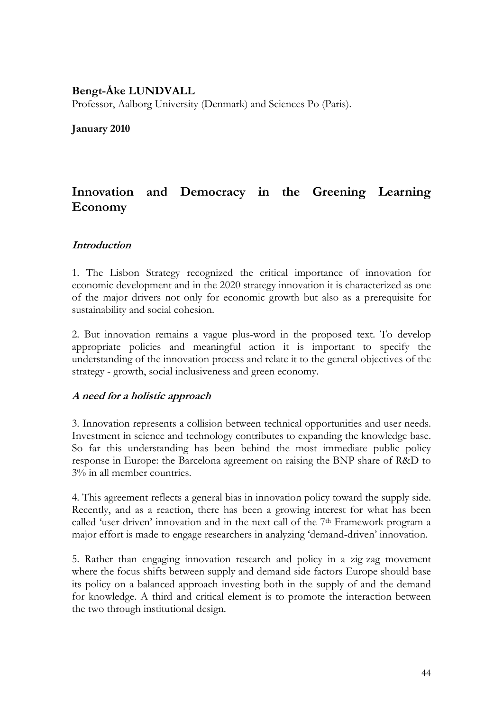#### **Bengt-Åke LUNDVALL**

Professor, Aalborg University (Denmark) and Sciences Po (Paris).

#### **January 2010**

# **Innovation and Democracy in the Greening Learning Economy**

#### **Introduction**

1. The Lisbon Strategy recognized the critical importance of innovation for economic development and in the 2020 strategy innovation it is characterized as one of the major drivers not only for economic growth but also as a prerequisite for sustainability and social cohesion.

2. But innovation remains a vague plus-word in the proposed text. To develop appropriate policies and meaningful action it is important to specify the understanding of the innovation process and relate it to the general objectives of the strategy - growth, social inclusiveness and green economy.

#### **A need for a holistic approach**

3. Innovation represents a collision between technical opportunities and user needs. Investment in science and technology contributes to expanding the knowledge base. So far this understanding has been behind the most immediate public policy response in Europe: the Barcelona agreement on raising the BNP share of R&D to 3% in all member countries.

4. This agreement reflects a general bias in innovation policy toward the supply side. Recently, and as a reaction, there has been a growing interest for what has been called 'user-driven' innovation and in the next call of the 7<sup>th</sup> Framework program a major effort is made to engage researchers in analyzing 'demand-driven' innovation.

5. Rather than engaging innovation research and policy in a zig-zag movement where the focus shifts between supply and demand side factors Europe should base its policy on a balanced approach investing both in the supply of and the demand for knowledge. A third and critical element is to promote the interaction between the two through institutional design.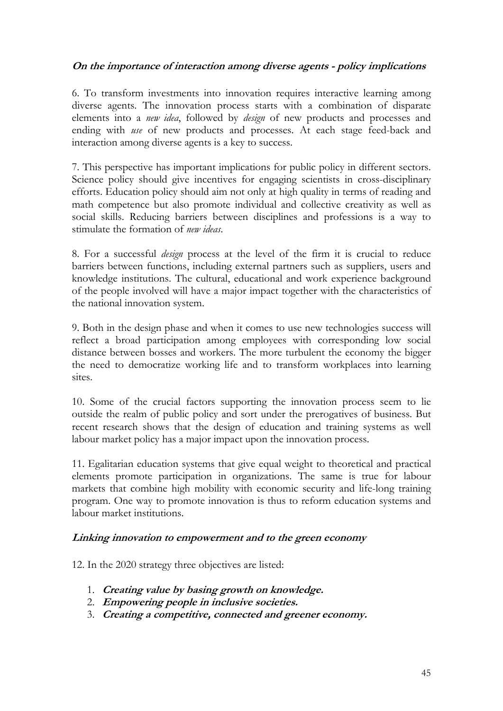#### **On the importance of interaction among diverse agents - policy implications**

6. To transform investments into innovation requires interactive learning among diverse agents. The innovation process starts with a combination of disparate elements into a *new idea*, followed by *design* of new products and processes and ending with *use* of new products and processes. At each stage feed-back and interaction among diverse agents is a key to success.

7. This perspective has important implications for public policy in different sectors. Science policy should give incentives for engaging scientists in cross-disciplinary efforts. Education policy should aim not only at high quality in terms of reading and math competence but also promote individual and collective creativity as well as social skills. Reducing barriers between disciplines and professions is a way to stimulate the formation of *new ideas*.

8. For a successful *design* process at the level of the firm it is crucial to reduce barriers between functions, including external partners such as suppliers, users and knowledge institutions. The cultural, educational and work experience background of the people involved will have a major impact together with the characteristics of the national innovation system.

9. Both in the design phase and when it comes to use new technologies success will reflect a broad participation among employees with corresponding low social distance between bosses and workers. The more turbulent the economy the bigger the need to democratize working life and to transform workplaces into learning sites.

10. Some of the crucial factors supporting the innovation process seem to lie outside the realm of public policy and sort under the prerogatives of business. But recent research shows that the design of education and training systems as well labour market policy has a major impact upon the innovation process.

11. Egalitarian education systems that give equal weight to theoretical and practical elements promote participation in organizations. The same is true for labour markets that combine high mobility with economic security and life-long training program. One way to promote innovation is thus to reform education systems and labour market institutions.

#### **Linking innovation to empowerment and to the green economy**

12. In the 2020 strategy three objectives are listed:

- 1. **Creating value by basing growth on knowledge.**
- 2. **Empowering people in inclusive societies.**
- 3. **Creating a competitive, connected and greener economy.**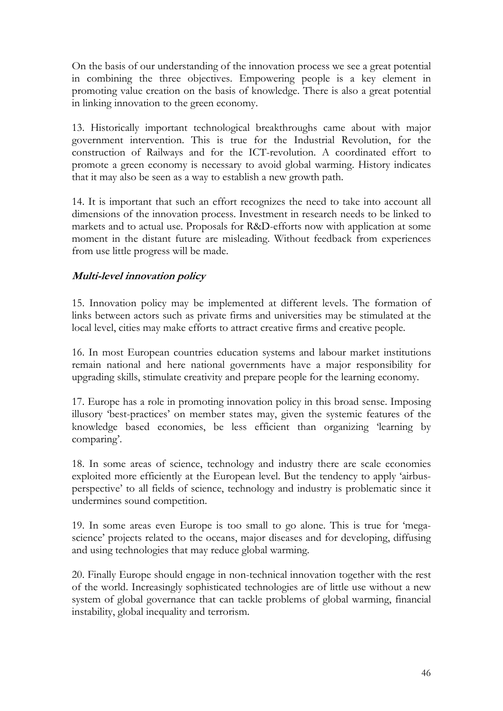On the basis of our understanding of the innovation process we see a great potential in combining the three objectives. Empowering people is a key element in promoting value creation on the basis of knowledge. There is also a great potential in linking innovation to the green economy.

13. Historically important technological breakthroughs came about with major government intervention. This is true for the Industrial Revolution, for the construction of Railways and for the ICT-revolution. A coordinated effort to promote a green economy is necessary to avoid global warming. History indicates that it may also be seen as a way to establish a new growth path.

14. It is important that such an effort recognizes the need to take into account all dimensions of the innovation process. Investment in research needs to be linked to markets and to actual use. Proposals for R&D-efforts now with application at some moment in the distant future are misleading. Without feedback from experiences from use little progress will be made.

### **Multi-level innovation policy**

15. Innovation policy may be implemented at different levels. The formation of links between actors such as private firms and universities may be stimulated at the local level, cities may make efforts to attract creative firms and creative people.

16. In most European countries education systems and labour market institutions remain national and here national governments have a major responsibility for upgrading skills, stimulate creativity and prepare people for the learning economy.

17. Europe has a role in promoting innovation policy in this broad sense. Imposing illusory 'best-practices' on member states may, given the systemic features of the knowledge based economies, be less efficient than organizing 'learning by comparing'.

18. In some areas of science, technology and industry there are scale economies exploited more efficiently at the European level. But the tendency to apply 'airbusperspective' to all fields of science, technology and industry is problematic since it undermines sound competition.

19. In some areas even Europe is too small to go alone. This is true for 'megascience' projects related to the oceans, major diseases and for developing, diffusing and using technologies that may reduce global warming.

20. Finally Europe should engage in non-technical innovation together with the rest of the world. Increasingly sophisticated technologies are of little use without a new system of global governance that can tackle problems of global warming, financial instability, global inequality and terrorism.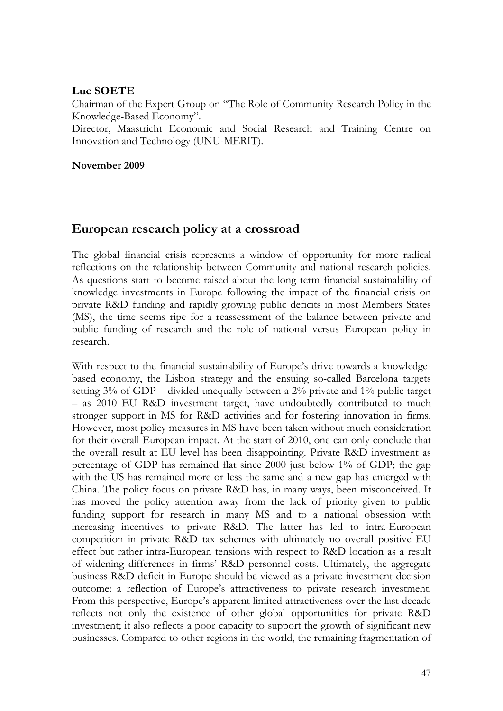#### **Luc SOETE**

Chairman of the Expert Group on "The Role of Community Research Policy in the Knowledge-Based Economy".

Director, Maastricht Economic and Social Research and Training Centre on Innovation and Technology (UNU-MERIT).

#### **November 2009**

# **European research policy at a crossroad**

The global financial crisis represents a window of opportunity for more radical reflections on the relationship between Community and national research policies. As questions start to become raised about the long term financial sustainability of knowledge investments in Europe following the impact of the financial crisis on private R&D funding and rapidly growing public deficits in most Members States (MS), the time seems ripe for a reassessment of the balance between private and public funding of research and the role of national versus European policy in research.

With respect to the financial sustainability of Europe's drive towards a knowledgebased economy, the Lisbon strategy and the ensuing so-called Barcelona targets setting 3% of GDP – divided unequally between a 2% private and 1% public target – as 2010 EU R&D investment target, have undoubtedly contributed to much stronger support in MS for R&D activities and for fostering innovation in firms. However, most policy measures in MS have been taken without much consideration for their overall European impact. At the start of 2010, one can only conclude that the overall result at EU level has been disappointing. Private R&D investment as percentage of GDP has remained flat since 2000 just below 1% of GDP; the gap with the US has remained more or less the same and a new gap has emerged with China. The policy focus on private R&D has, in many ways, been misconceived. It has moved the policy attention away from the lack of priority given to public funding support for research in many MS and to a national obsession with increasing incentives to private R&D. The latter has led to intra-European competition in private R&D tax schemes with ultimately no overall positive EU effect but rather intra-European tensions with respect to R&D location as a result of widening differences in firms' R&D personnel costs. Ultimately, the aggregate business R&D deficit in Europe should be viewed as a private investment decision outcome: a reflection of Europe's attractiveness to private research investment. From this perspective, Europe's apparent limited attractiveness over the last decade reflects not only the existence of other global opportunities for private R&D investment; it also reflects a poor capacity to support the growth of significant new businesses. Compared to other regions in the world, the remaining fragmentation of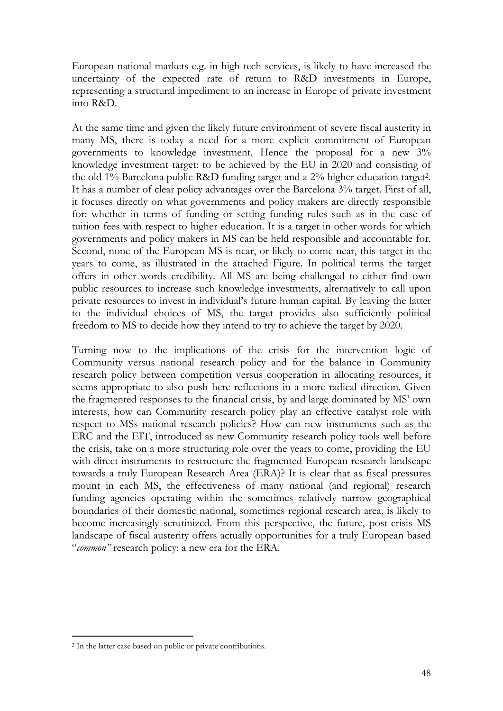European national markets e.g. in high-tech services, is likely to have increased the uncertainty of the expected rate of return to R&D investments in Europe, representing a structural impediment to an increase in Europe of private investment into R&D.

At the same time and given the likely future environment of severe fiscal austerity in many MS, there is today a need for a more explicit commitment of European governments to knowledge investment. Hence the proposal for a new 3% knowledge investment target: to be achieved by the EU in 2020 and consisting of the old 1% Barcelona public R&D funding target and a 2% higher education target2. It has a number of clear policy advantages over the Barcelona 3% target. First of all, it focuses directly on what governments and policy makers are directly responsible for: whether in terms of funding or setting funding rules such as in the case of tuition fees with respect to higher education. It is a target in other words for which governments and policy makers in MS can be held responsible and accountable for. Second, none of the European MS is near, or likely to come near, this target in the years to come, as illustrated in the attached Figure. In political terms the target offers in other words credibility. All MS are being challenged to either find own public resources to increase such knowledge investments, alternatively to call upon private resources to invest in individual's future human capital. By leaving the latter to the individual choices of MS, the target provides also sufficiently political freedom to MS to decide how they intend to try to achieve the target by 2020.

Turning now to the implications of the crisis for the intervention logic of Community versus national research policy and for the balance in Community research policy between competition versus cooperation in allocating resources, it seems appropriate to also push here reflections in a more radical direction. Given the fragmented responses to the financial crisis, by and large dominated by MS' own interests, how can Community research policy play an effective catalyst role with respect to MSs national research policies? How can new instruments such as the ERC and the EIT, introduced as new Community research policy tools well before the crisis, take on a more structuring role over the years to come, providing the EU with direct instruments to restructure the fragmented European research landscape towards a truly European Research Area (ERA)? It is clear that as fiscal pressures mount in each MS, the effectiveness of many national (and regional) research funding agencies operating within the sometimes relatively narrow geographical boundaries of their domestic national, sometimes regional research area, is likely to become increasingly scrutinized. From this perspective, the future, post-crisis MS landscape of fiscal austerity offers actually opportunities for a truly European based "*common"* research policy: a new era for the ERA.

-

<sup>2</sup> In the latter case based on public or private contributions.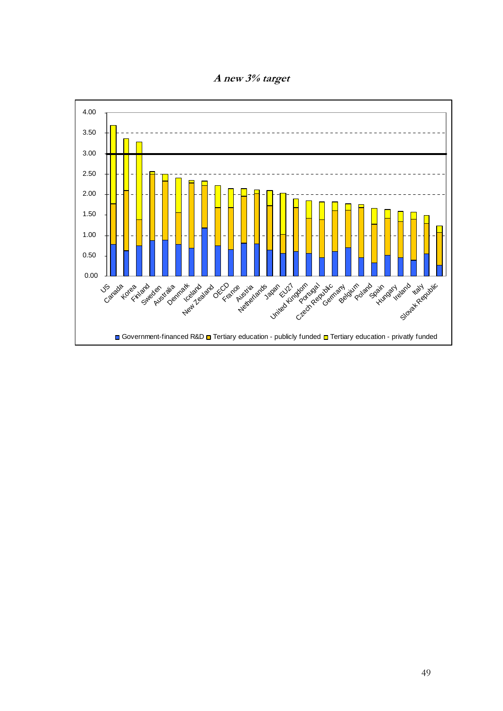

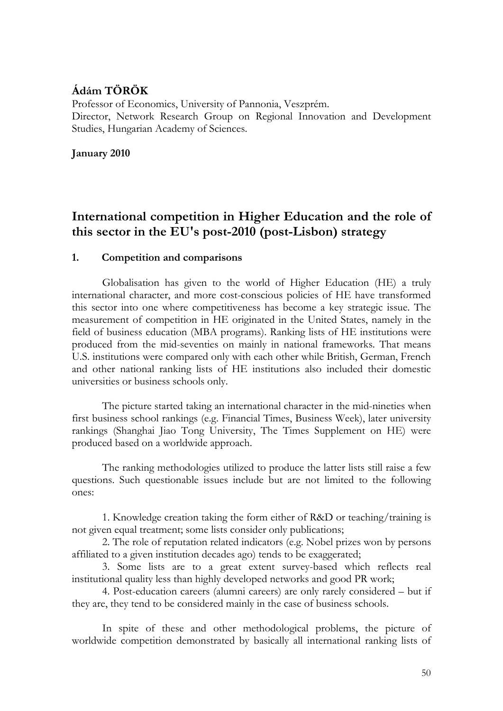# **Ádám TÖRÖK**

Professor of Economics, University of Pannonia, Veszprém. Director, Network Research Group on Regional Innovation and Development Studies, Hungarian Academy of Sciences.

**January 2010** 

# **International competition in Higher Education and the role of this sector in the EU's post-2010 (post-Lisbon) strategy**

#### **1. Competition and comparisons**

Globalisation has given to the world of Higher Education (HE) a truly international character, and more cost-conscious policies of HE have transformed this sector into one where competitiveness has become a key strategic issue. The measurement of competition in HE originated in the United States, namely in the field of business education (MBA programs). Ranking lists of HE institutions were produced from the mid-seventies on mainly in national frameworks. That means U.S. institutions were compared only with each other while British, German, French and other national ranking lists of HE institutions also included their domestic universities or business schools only.

The picture started taking an international character in the mid-nineties when first business school rankings (e.g. Financial Times, Business Week), later university rankings (Shanghai Jiao Tong University, The Times Supplement on HE) were produced based on a worldwide approach.

The ranking methodologies utilized to produce the latter lists still raise a few questions. Such questionable issues include but are not limited to the following ones:

1. Knowledge creation taking the form either of R&D or teaching/training is not given equal treatment; some lists consider only publications;

2. The role of reputation related indicators (e.g. Nobel prizes won by persons affiliated to a given institution decades ago) tends to be exaggerated;

3. Some lists are to a great extent survey-based which reflects real institutional quality less than highly developed networks and good PR work;

4. Post-education careers (alumni careers) are only rarely considered – but if they are, they tend to be considered mainly in the case of business schools.

In spite of these and other methodological problems, the picture of worldwide competition demonstrated by basically all international ranking lists of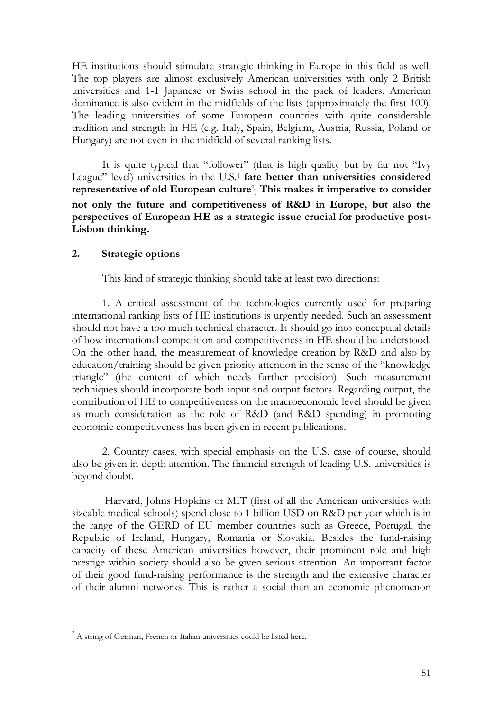HE institutions should stimulate strategic thinking in Europe in this field as well. The top players are almost exclusively American universities with only 2 British universities and 1-1 Japanese or Swiss school in the pack of leaders. American dominance is also evident in the midfields of the lists (approximately the first 100). The leading universities of some European countries with quite considerable tradition and strength in HE (e.g. Italy, Spain, Belgium, Austria, Russia, Poland or Hungary) are not even in the midfield of several ranking lists.

It is quite typical that "follower" (that is high quality but by far not "Ivy League" level) universities in the U.S.1 **fare better than universities considered representative of old European culture**<sup>2</sup> . **This makes it imperative to consider not only the future and competitiveness of R&D in Europe, but also the perspectives of European HE as a strategic issue crucial for productive post-Lisbon thinking.** 

#### **2. Strategic options**

This kind of strategic thinking should take at least two directions:

1. A critical assessment of the technologies currently used for preparing international ranking lists of HE institutions is urgently needed. Such an assessment should not have a too much technical character. It should go into conceptual details of how international competition and competitiveness in HE should be understood. On the other hand, the measurement of knowledge creation by R&D and also by education/training should be given priority attention in the sense of the "knowledge triangle" (the content of which needs further precision). Such measurement techniques should incorporate both input and output factors. Regarding output, the contribution of HE to competitiveness on the macroeconomic level should be given as much consideration as the role of R&D (and R&D spending) in promoting economic competitiveness has been given in recent publications.

2. Country cases, with special emphasis on the U.S. case of course, should also be given in-depth attention. The financial strength of leading U.S. universities is beyond doubt.

 Harvard, Johns Hopkins or MIT (first of all the American universities with sizeable medical schools) spend close to 1 billion USD on R&D per year which is in the range of the GERD of EU member countries such as Greece, Portugal, the Republic of Ireland, Hungary, Romania or Slovakia. Besides the fund-raising capacity of these American universities however, their prominent role and high prestige within society should also be given serious attention. An important factor of their good fund-raising performance is the strength and the extensive character of their alumni networks. This is rather a social than an economic phenomenon

-

 $2^2$  A string of German, French or Italian universities could be listed here.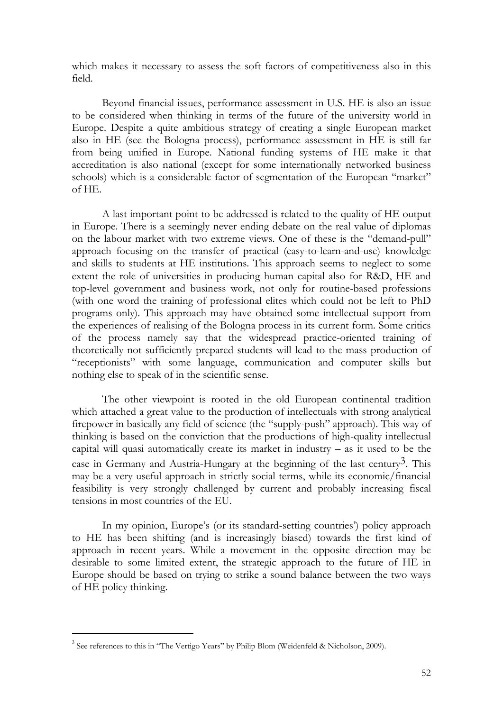which makes it necessary to assess the soft factors of competitiveness also in this field.

Beyond financial issues, performance assessment in U.S. HE is also an issue to be considered when thinking in terms of the future of the university world in Europe. Despite a quite ambitious strategy of creating a single European market also in HE (see the Bologna process), performance assessment in HE is still far from being unified in Europe. National funding systems of HE make it that accreditation is also national (except for some internationally networked business schools) which is a considerable factor of segmentation of the European "market" of HE.

A last important point to be addressed is related to the quality of HE output in Europe. There is a seemingly never ending debate on the real value of diplomas on the labour market with two extreme views. One of these is the "demand-pull" approach focusing on the transfer of practical (easy-to-learn-and-use) knowledge and skills to students at HE institutions. This approach seems to neglect to some extent the role of universities in producing human capital also for R&D, HE and top-level government and business work, not only for routine-based professions (with one word the training of professional elites which could not be left to PhD programs only). This approach may have obtained some intellectual support from the experiences of realising of the Bologna process in its current form. Some critics of the process namely say that the widespread practice-oriented training of theoretically not sufficiently prepared students will lead to the mass production of "receptionists" with some language, communication and computer skills but nothing else to speak of in the scientific sense.

The other viewpoint is rooted in the old European continental tradition which attached a great value to the production of intellectuals with strong analytical firepower in basically any field of science (the "supply-push" approach). This way of thinking is based on the conviction that the productions of high-quality intellectual capital will quasi automatically create its market in industry  $-$  as it used to be the case in Germany and Austria-Hungary at the beginning of the last century<sup>3</sup>. This may be a very useful approach in strictly social terms, while its economic/financial feasibility is very strongly challenged by current and probably increasing fiscal tensions in most countries of the EU.

In my opinion, Europe's (or its standard-setting countries') policy approach to HE has been shifting (and is increasingly biased) towards the first kind of approach in recent years. While a movement in the opposite direction may be desirable to some limited extent, the strategic approach to the future of HE in Europe should be based on trying to strike a sound balance between the two ways of HE policy thinking.

-

<sup>&</sup>lt;sup>3</sup> See references to this in "The Vertigo Years" by Philip Blom (Weidenfeld & Nicholson, 2009).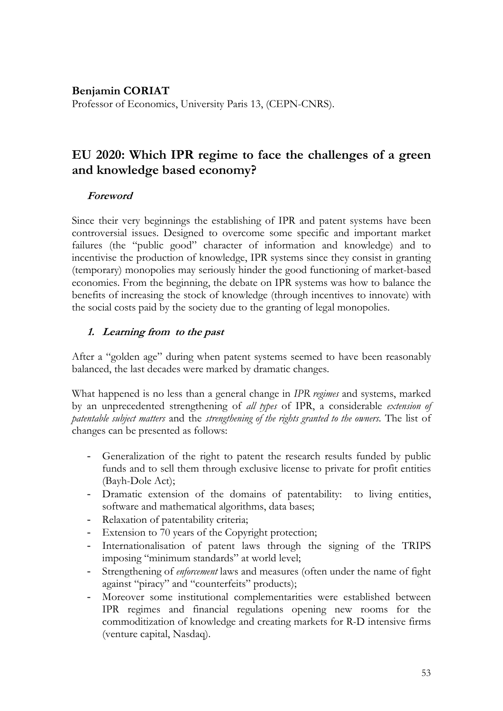#### **Benjamin CORIAT**

Professor of Economics, University Paris 13, (CEPN-CNRS).

# **EU 2020: Which IPR regime to face the challenges of a green and knowledge based economy?**

#### **Foreword**

Since their very beginnings the establishing of IPR and patent systems have been controversial issues. Designed to overcome some specific and important market failures (the "public good" character of information and knowledge) and to incentivise the production of knowledge, IPR systems since they consist in granting (temporary) monopolies may seriously hinder the good functioning of market-based economies. From the beginning, the debate on IPR systems was how to balance the benefits of increasing the stock of knowledge (through incentives to innovate) with the social costs paid by the society due to the granting of legal monopolies.

#### **1. Learning from to the past**

After a "golden age" during when patent systems seemed to have been reasonably balanced, the last decades were marked by dramatic changes.

What happened is no less than a general change in *IPR regimes* and systems, marked by an unprecedented strengthening of *all types* of IPR, a considerable *extension of patentable subject matters* and the *strengthening of the rights granted to the owners*. The list of changes can be presented as follows:

- Generalization of the right to patent the research results funded by public funds and to sell them through exclusive license to private for profit entities (Bayh-Dole Act);
- Dramatic extension of the domains of patentability: to living entities, software and mathematical algorithms, data bases;
- Relaxation of patentability criteria;
- Extension to 70 years of the Copyright protection;
- Internationalisation of patent laws through the signing of the TRIPS imposing "minimum standards" at world level;
- Strengthening of *enforcement* laws and measures (often under the name of fight against "piracy" and "counterfeits" products);
- Moreover some institutional complementarities were established between IPR regimes and financial regulations opening new rooms for the commoditization of knowledge and creating markets for R-D intensive firms (venture capital, Nasdaq).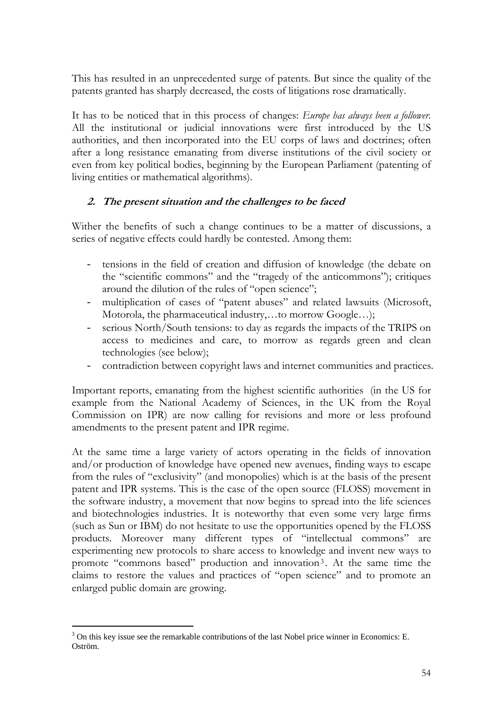This has resulted in an unprecedented surge of patents. But since the quality of the patents granted has sharply decreased, the costs of litigations rose dramatically.

It has to be noticed that in this process of changes: *Europe has always been a follower.* All the institutional or judicial innovations were first introduced by the US authorities, and then incorporated into the EU corps of laws and doctrines; often after a long resistance emanating from diverse institutions of the civil society or even from key political bodies, beginning by the European Parliament (patenting of living entities or mathematical algorithms).

# **2. The present situation and the challenges to be faced**

Wither the benefits of such a change continues to be a matter of discussions, a series of negative effects could hardly be contested. Among them:

- tensions in the field of creation and diffusion of knowledge (the debate on the "scientific commons" and the "tragedy of the anticommons"); critiques around the dilution of the rules of "open science";
- multiplication of cases of "patent abuses" and related lawsuits (Microsoft, Motorola, the pharmaceutical industry,…to morrow Google…);
- serious North/South tensions: to day as regards the impacts of the TRIPS on access to medicines and care, to morrow as regards green and clean technologies (see below);
- contradiction between copyright laws and internet communities and practices.

Important reports, emanating from the highest scientific authorities (in the US for example from the National Academy of Sciences, in the UK from the Royal Commission on IPR) are now calling for revisions and more or less profound amendments to the present patent and IPR regime.

At the same time a large variety of actors operating in the fields of innovation and/or production of knowledge have opened new avenues, finding ways to escape from the rules of "exclusivity" (and monopolies) which is at the basis of the present patent and IPR systems. This is the case of the open source (FLOSS) movement in the software industry, a movement that now begins to spread into the life sciences and biotechnologies industries. It is noteworthy that even some very large firms (such as Sun or IBM) do not hesitate to use the opportunities opened by the FLOSS products. Moreover many different types of "intellectual commons" are experimenting new protocols to share access to knowledge and invent new ways to promote "commons based" production and innovation3 . At the same time the claims to restore the values and practices of "open science" and to promote an enlarged public domain are growing.

 $\overline{a}$  $3$  On this key issue see the remarkable contributions of the last Nobel price winner in Economics: E. Oström.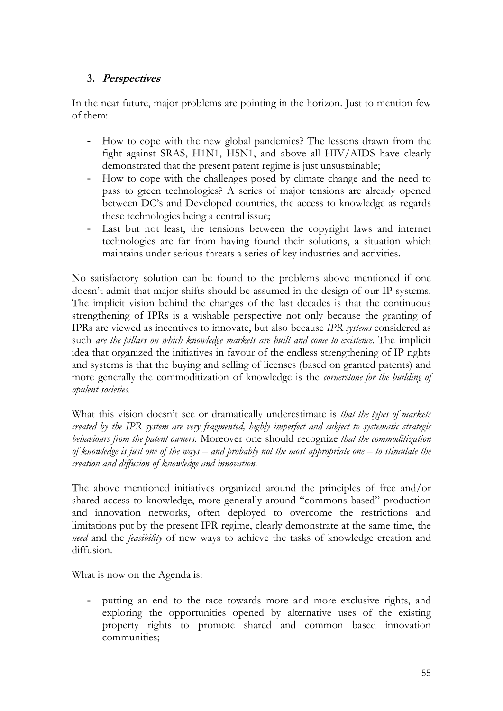#### **3. Perspectives**

In the near future, major problems are pointing in the horizon. Just to mention few of them:

- How to cope with the new global pandemics? The lessons drawn from the fight against SRAS, H1N1, H5N1, and above all HIV/AIDS have clearly demonstrated that the present patent regime is just unsustainable;
- How to cope with the challenges posed by climate change and the need to pass to green technologies? A series of major tensions are already opened between DC's and Developed countries, the access to knowledge as regards these technologies being a central issue;
- Last but not least, the tensions between the copyright laws and internet technologies are far from having found their solutions, a situation which maintains under serious threats a series of key industries and activities.

No satisfactory solution can be found to the problems above mentioned if one doesn't admit that major shifts should be assumed in the design of our IP systems. The implicit vision behind the changes of the last decades is that the continuous strengthening of IPRs is a wishable perspective not only because the granting of IPRs are viewed as incentives to innovate, but also because *IPR systems* considered as such *are the pillars on which knowledge markets are built and come to existence*. The implicit idea that organized the initiatives in favour of the endless strengthening of IP rights and systems is that the buying and selling of licenses (based on granted patents) and more generally the commoditization of knowledge is the *cornerstone for the building of opulent societies.*

What this vision doesn't see or dramatically underestimate is *that the types of markets created by the IPR system are very fragmented, highly imperfect and subject to systematic strategic behaviours from the patent owners*. Moreover one should recognize *that the commoditization of knowledge is just one of the ways – and probably not the most appropriate one – to stimulate the creation and diffusion of knowledge and innovation.* 

The above mentioned initiatives organized around the principles of free and/or shared access to knowledge, more generally around "commons based" production and innovation networks, often deployed to overcome the restrictions and limitations put by the present IPR regime, clearly demonstrate at the same time, the *need* and the *feasibility* of new ways to achieve the tasks of knowledge creation and diffusion.

What is now on the Agenda is:

putting an end to the race towards more and more exclusive rights, and exploring the opportunities opened by alternative uses of the existing property rights to promote shared and common based innovation communities;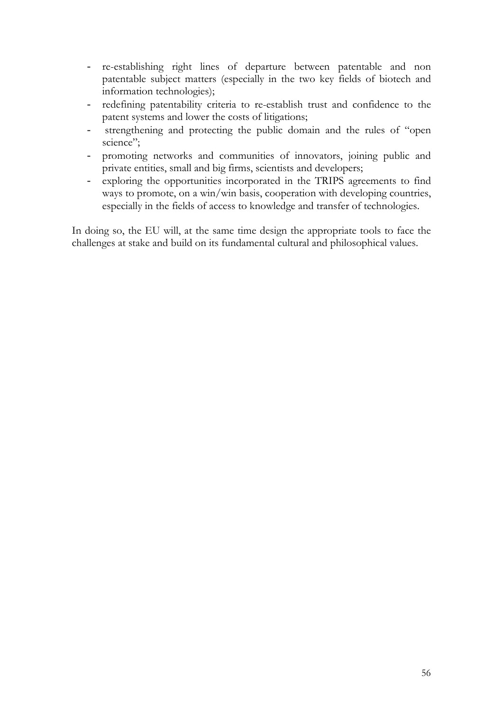- re-establishing right lines of departure between patentable and non patentable subject matters (especially in the two key fields of biotech and information technologies);
- redefining patentability criteria to re-establish trust and confidence to the patent systems and lower the costs of litigations;
- strengthening and protecting the public domain and the rules of "open science";
- promoting networks and communities of innovators, joining public and private entities, small and big firms, scientists and developers;
- exploring the opportunities incorporated in the TRIPS agreements to find ways to promote, on a win/win basis, cooperation with developing countries, especially in the fields of access to knowledge and transfer of technologies.

In doing so, the EU will, at the same time design the appropriate tools to face the challenges at stake and build on its fundamental cultural and philosophical values.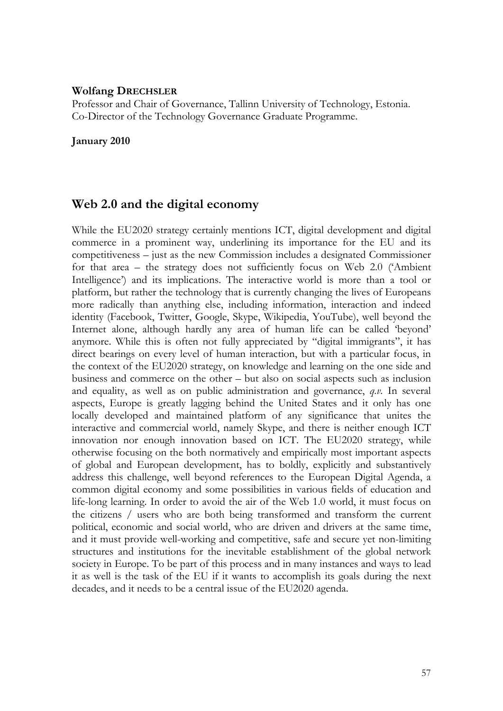#### **Wolfang DRECHSLER**

Professor and Chair of Governance, Tallinn University of Technology, Estonia. Co-Director of the Technology Governance Graduate Programme.

#### **January 2010**

# **Web 2.0 and the digital economy**

While the EU2020 strategy certainly mentions ICT, digital development and digital commerce in a prominent way, underlining its importance for the EU and its competitiveness – just as the new Commission includes a designated Commissioner for that area – the strategy does not sufficiently focus on Web 2.0 ('Ambient Intelligence') and its implications. The interactive world is more than a tool or platform, but rather the technology that is currently changing the lives of Europeans more radically than anything else, including information, interaction and indeed identity (Facebook, Twitter, Google, Skype, Wikipedia, YouTube), well beyond the Internet alone, although hardly any area of human life can be called 'beyond' anymore. While this is often not fully appreciated by "digital immigrants", it has direct bearings on every level of human interaction, but with a particular focus, in the context of the EU2020 strategy, on knowledge and learning on the one side and business and commerce on the other – but also on social aspects such as inclusion and equality, as well as on public administration and governance, *q.v.* In several aspects, Europe is greatly lagging behind the United States and it only has one locally developed and maintained platform of any significance that unites the interactive and commercial world, namely Skype, and there is neither enough ICT innovation nor enough innovation based on ICT. The EU2020 strategy, while otherwise focusing on the both normatively and empirically most important aspects of global and European development, has to boldly, explicitly and substantively address this challenge, well beyond references to the European Digital Agenda, a common digital economy and some possibilities in various fields of education and life-long learning. In order to avoid the air of the Web 1.0 world, it must focus on the citizens / users who are both being transformed and transform the current political, economic and social world, who are driven and drivers at the same time, and it must provide well-working and competitive, safe and secure yet non-limiting structures and institutions for the inevitable establishment of the global network society in Europe. To be part of this process and in many instances and ways to lead it as well is the task of the EU if it wants to accomplish its goals during the next decades, and it needs to be a central issue of the EU2020 agenda.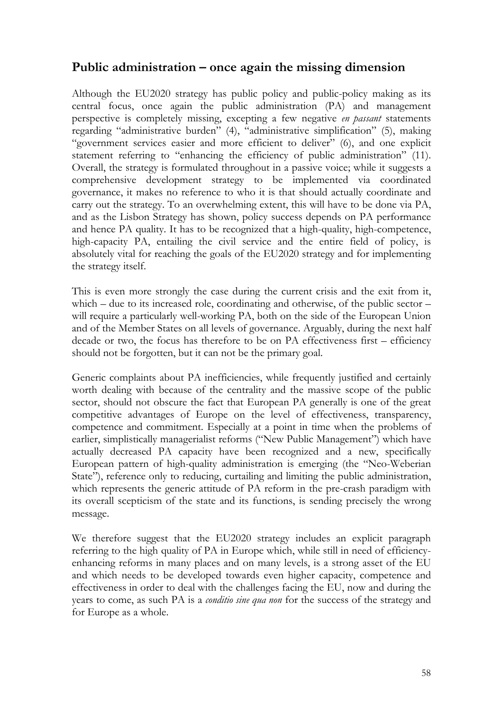# **Public administration – once again the missing dimension**

Although the EU2020 strategy has public policy and public-policy making as its central focus, once again the public administration (PA) and management perspective is completely missing, excepting a few negative *en passant* statements regarding "administrative burden" (4), "administrative simplification" (5), making "government services easier and more efficient to deliver" (6), and one explicit statement referring to "enhancing the efficiency of public administration" (11). Overall, the strategy is formulated throughout in a passive voice; while it suggests a comprehensive development strategy to be implemented via coordinated governance, it makes no reference to who it is that should actually coordinate and carry out the strategy. To an overwhelming extent, this will have to be done via PA, and as the Lisbon Strategy has shown, policy success depends on PA performance and hence PA quality. It has to be recognized that a high-quality, high-competence, high-capacity PA, entailing the civil service and the entire field of policy, is absolutely vital for reaching the goals of the EU2020 strategy and for implementing the strategy itself.

This is even more strongly the case during the current crisis and the exit from it, which – due to its increased role, coordinating and otherwise, of the public sector – will require a particularly well-working PA, both on the side of the European Union and of the Member States on all levels of governance. Arguably, during the next half decade or two, the focus has therefore to be on PA effectiveness first – efficiency should not be forgotten, but it can not be the primary goal.

Generic complaints about PA inefficiencies, while frequently justified and certainly worth dealing with because of the centrality and the massive scope of the public sector, should not obscure the fact that European PA generally is one of the great competitive advantages of Europe on the level of effectiveness, transparency, competence and commitment. Especially at a point in time when the problems of earlier, simplistically managerialist reforms ("New Public Management") which have actually decreased PA capacity have been recognized and a new, specifically European pattern of high-quality administration is emerging (the "Neo-Weberian State"), reference only to reducing, curtailing and limiting the public administration, which represents the generic attitude of PA reform in the pre-crash paradigm with its overall scepticism of the state and its functions, is sending precisely the wrong message.

We therefore suggest that the EU2020 strategy includes an explicit paragraph referring to the high quality of PA in Europe which, while still in need of efficiencyenhancing reforms in many places and on many levels, is a strong asset of the EU and which needs to be developed towards even higher capacity, competence and effectiveness in order to deal with the challenges facing the EU, now and during the years to come, as such PA is a *conditio sine qua non* for the success of the strategy and for Europe as a whole.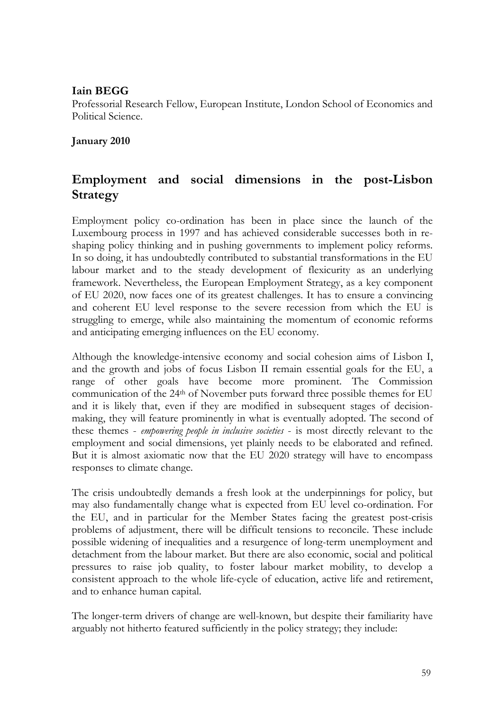### **Iain BEGG**

Professorial Research Fellow, European Institute, London School of Economics and Political Science.

**January 2010** 

# **Employment and social dimensions in the post-Lisbon Strategy**

Employment policy co-ordination has been in place since the launch of the Luxembourg process in 1997 and has achieved considerable successes both in reshaping policy thinking and in pushing governments to implement policy reforms. In so doing, it has undoubtedly contributed to substantial transformations in the EU labour market and to the steady development of flexicurity as an underlying framework. Nevertheless, the European Employment Strategy, as a key component of EU 2020, now faces one of its greatest challenges. It has to ensure a convincing and coherent EU level response to the severe recession from which the EU is struggling to emerge, while also maintaining the momentum of economic reforms and anticipating emerging influences on the EU economy.

Although the knowledge-intensive economy and social cohesion aims of Lisbon I, and the growth and jobs of focus Lisbon II remain essential goals for the EU, a range of other goals have become more prominent. The Commission communication of the 24th of November puts forward three possible themes for EU and it is likely that, even if they are modified in subsequent stages of decisionmaking, they will feature prominently in what is eventually adopted. The second of these themes - *empowering people in inclusive societies* - is most directly relevant to the employment and social dimensions, yet plainly needs to be elaborated and refined. But it is almost axiomatic now that the EU 2020 strategy will have to encompass responses to climate change.

The crisis undoubtedly demands a fresh look at the underpinnings for policy, but may also fundamentally change what is expected from EU level co-ordination. For the EU, and in particular for the Member States facing the greatest post-crisis problems of adjustment, there will be difficult tensions to reconcile. These include possible widening of inequalities and a resurgence of long-term unemployment and detachment from the labour market. But there are also economic, social and political pressures to raise job quality, to foster labour market mobility, to develop a consistent approach to the whole life-cycle of education, active life and retirement, and to enhance human capital.

The longer-term drivers of change are well-known, but despite their familiarity have arguably not hitherto featured sufficiently in the policy strategy; they include: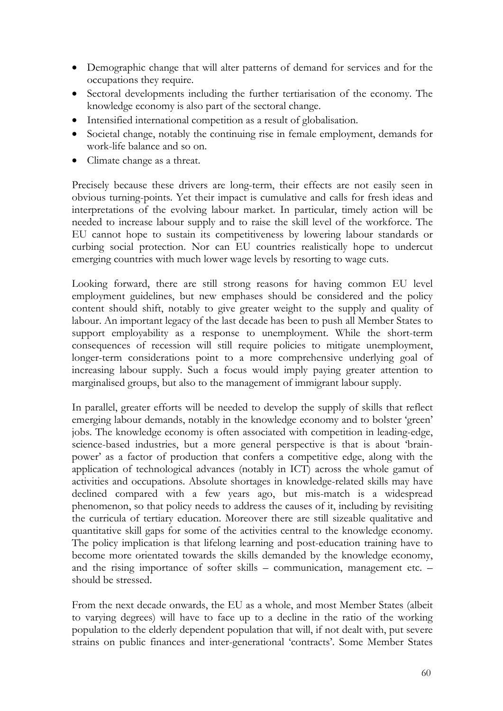- Demographic change that will alter patterns of demand for services and for the occupations they require.
- Sectoral developments including the further tertiarisation of the economy. The knowledge economy is also part of the sectoral change.
- Intensified international competition as a result of globalisation.
- Societal change, notably the continuing rise in female employment, demands for work-life balance and so on.
- Climate change as a threat.

Precisely because these drivers are long-term, their effects are not easily seen in obvious turning-points. Yet their impact is cumulative and calls for fresh ideas and interpretations of the evolving labour market. In particular, timely action will be needed to increase labour supply and to raise the skill level of the workforce. The EU cannot hope to sustain its competitiveness by lowering labour standards or curbing social protection. Nor can EU countries realistically hope to undercut emerging countries with much lower wage levels by resorting to wage cuts.

Looking forward, there are still strong reasons for having common EU level employment guidelines, but new emphases should be considered and the policy content should shift, notably to give greater weight to the supply and quality of labour. An important legacy of the last decade has been to push all Member States to support employability as a response to unemployment. While the short-term consequences of recession will still require policies to mitigate unemployment, longer-term considerations point to a more comprehensive underlying goal of increasing labour supply. Such a focus would imply paying greater attention to marginalised groups, but also to the management of immigrant labour supply.

In parallel, greater efforts will be needed to develop the supply of skills that reflect emerging labour demands, notably in the knowledge economy and to bolster 'green' jobs. The knowledge economy is often associated with competition in leading-edge, science-based industries, but a more general perspective is that is about 'brainpower' as a factor of production that confers a competitive edge, along with the application of technological advances (notably in ICT) across the whole gamut of activities and occupations. Absolute shortages in knowledge-related skills may have declined compared with a few years ago, but mis-match is a widespread phenomenon, so that policy needs to address the causes of it, including by revisiting the curricula of tertiary education. Moreover there are still sizeable qualitative and quantitative skill gaps for some of the activities central to the knowledge economy. The policy implication is that lifelong learning and post-education training have to become more orientated towards the skills demanded by the knowledge economy, and the rising importance of softer skills – communication, management etc. – should be stressed.

From the next decade onwards, the EU as a whole, and most Member States (albeit to varying degrees) will have to face up to a decline in the ratio of the working population to the elderly dependent population that will, if not dealt with, put severe strains on public finances and inter-generational 'contracts'. Some Member States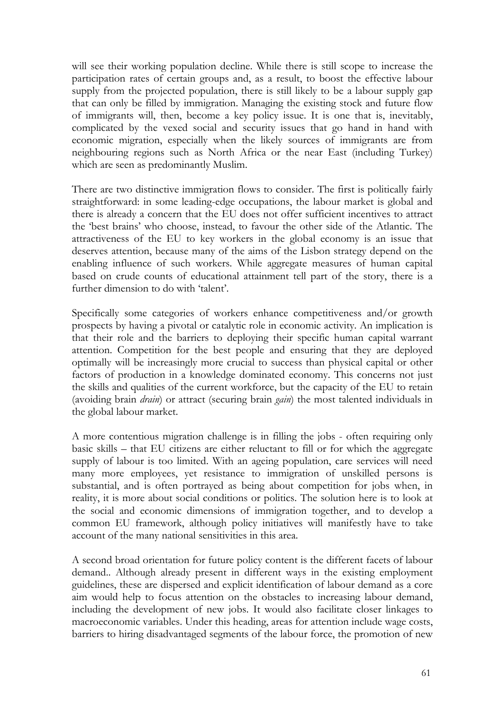will see their working population decline. While there is still scope to increase the participation rates of certain groups and, as a result, to boost the effective labour supply from the projected population, there is still likely to be a labour supply gap that can only be filled by immigration. Managing the existing stock and future flow of immigrants will, then, become a key policy issue. It is one that is, inevitably, complicated by the vexed social and security issues that go hand in hand with economic migration, especially when the likely sources of immigrants are from neighbouring regions such as North Africa or the near East (including Turkey) which are seen as predominantly Muslim.

There are two distinctive immigration flows to consider. The first is politically fairly straightforward: in some leading-edge occupations, the labour market is global and there is already a concern that the EU does not offer sufficient incentives to attract the 'best brains' who choose, instead, to favour the other side of the Atlantic. The attractiveness of the EU to key workers in the global economy is an issue that deserves attention, because many of the aims of the Lisbon strategy depend on the enabling influence of such workers. While aggregate measures of human capital based on crude counts of educational attainment tell part of the story, there is a further dimension to do with 'talent'.

Specifically some categories of workers enhance competitiveness and/or growth prospects by having a pivotal or catalytic role in economic activity. An implication is that their role and the barriers to deploying their specific human capital warrant attention. Competition for the best people and ensuring that they are deployed optimally will be increasingly more crucial to success than physical capital or other factors of production in a knowledge dominated economy. This concerns not just the skills and qualities of the current workforce, but the capacity of the EU to retain (avoiding brain *drain*) or attract (securing brain *gain*) the most talented individuals in the global labour market.

A more contentious migration challenge is in filling the jobs - often requiring only basic skills – that EU citizens are either reluctant to fill or for which the aggregate supply of labour is too limited. With an ageing population, care services will need many more employees, yet resistance to immigration of unskilled persons is substantial, and is often portrayed as being about competition for jobs when, in reality, it is more about social conditions or politics. The solution here is to look at the social and economic dimensions of immigration together, and to develop a common EU framework, although policy initiatives will manifestly have to take account of the many national sensitivities in this area.

A second broad orientation for future policy content is the different facets of labour demand.. Although already present in different ways in the existing employment guidelines, these are dispersed and explicit identification of labour demand as a core aim would help to focus attention on the obstacles to increasing labour demand, including the development of new jobs. It would also facilitate closer linkages to macroeconomic variables. Under this heading, areas for attention include wage costs, barriers to hiring disadvantaged segments of the labour force, the promotion of new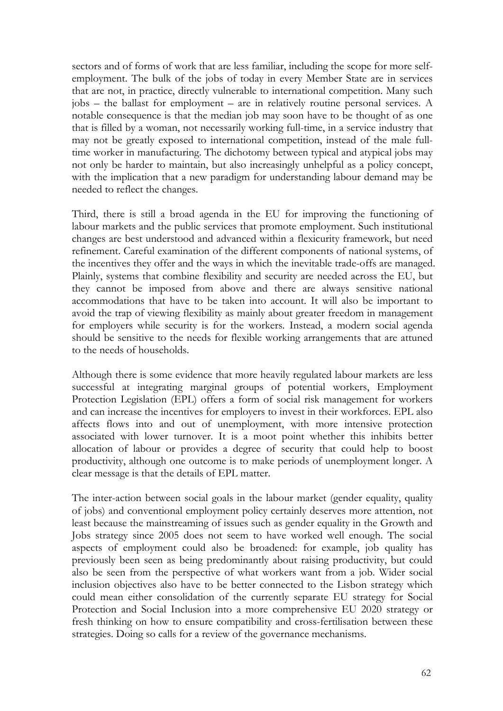sectors and of forms of work that are less familiar, including the scope for more selfemployment. The bulk of the jobs of today in every Member State are in services that are not, in practice, directly vulnerable to international competition. Many such jobs – the ballast for employment – are in relatively routine personal services. A notable consequence is that the median job may soon have to be thought of as one that is filled by a woman, not necessarily working full-time, in a service industry that may not be greatly exposed to international competition, instead of the male fulltime worker in manufacturing. The dichotomy between typical and atypical jobs may not only be harder to maintain, but also increasingly unhelpful as a policy concept, with the implication that a new paradigm for understanding labour demand may be needed to reflect the changes.

Third, there is still a broad agenda in the EU for improving the functioning of labour markets and the public services that promote employment. Such institutional changes are best understood and advanced within a flexicurity framework, but need refinement. Careful examination of the different components of national systems, of the incentives they offer and the ways in which the inevitable trade-offs are managed. Plainly, systems that combine flexibility and security are needed across the EU, but they cannot be imposed from above and there are always sensitive national accommodations that have to be taken into account. It will also be important to avoid the trap of viewing flexibility as mainly about greater freedom in management for employers while security is for the workers. Instead, a modern social agenda should be sensitive to the needs for flexible working arrangements that are attuned to the needs of households.

Although there is some evidence that more heavily regulated labour markets are less successful at integrating marginal groups of potential workers, Employment Protection Legislation (EPL) offers a form of social risk management for workers and can increase the incentives for employers to invest in their workforces. EPL also affects flows into and out of unemployment, with more intensive protection associated with lower turnover. It is a moot point whether this inhibits better allocation of labour or provides a degree of security that could help to boost productivity, although one outcome is to make periods of unemployment longer. A clear message is that the details of EPL matter.

The inter-action between social goals in the labour market (gender equality, quality of jobs) and conventional employment policy certainly deserves more attention, not least because the mainstreaming of issues such as gender equality in the Growth and Jobs strategy since 2005 does not seem to have worked well enough. The social aspects of employment could also be broadened: for example, job quality has previously been seen as being predominantly about raising productivity, but could also be seen from the perspective of what workers want from a job. Wider social inclusion objectives also have to be better connected to the Lisbon strategy which could mean either consolidation of the currently separate EU strategy for Social Protection and Social Inclusion into a more comprehensive EU 2020 strategy or fresh thinking on how to ensure compatibility and cross-fertilisation between these strategies. Doing so calls for a review of the governance mechanisms.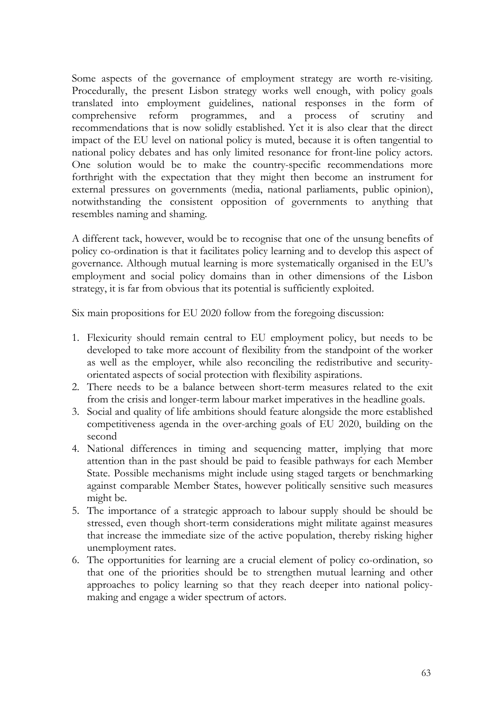Some aspects of the governance of employment strategy are worth re-visiting. Procedurally, the present Lisbon strategy works well enough, with policy goals translated into employment guidelines, national responses in the form of comprehensive reform programmes, and a process of scrutiny and recommendations that is now solidly established. Yet it is also clear that the direct impact of the EU level on national policy is muted, because it is often tangential to national policy debates and has only limited resonance for front-line policy actors. One solution would be to make the country-specific recommendations more forthright with the expectation that they might then become an instrument for external pressures on governments (media, national parliaments, public opinion), notwithstanding the consistent opposition of governments to anything that resembles naming and shaming.

A different tack, however, would be to recognise that one of the unsung benefits of policy co-ordination is that it facilitates policy learning and to develop this aspect of governance. Although mutual learning is more systematically organised in the EU's employment and social policy domains than in other dimensions of the Lisbon strategy, it is far from obvious that its potential is sufficiently exploited.

Six main propositions for EU 2020 follow from the foregoing discussion:

- 1. Flexicurity should remain central to EU employment policy, but needs to be developed to take more account of flexibility from the standpoint of the worker as well as the employer, while also reconciling the redistributive and securityorientated aspects of social protection with flexibility aspirations.
- 2. There needs to be a balance between short-term measures related to the exit from the crisis and longer-term labour market imperatives in the headline goals.
- 3. Social and quality of life ambitions should feature alongside the more established competitiveness agenda in the over-arching goals of EU 2020, building on the second
- 4. National differences in timing and sequencing matter, implying that more attention than in the past should be paid to feasible pathways for each Member State. Possible mechanisms might include using staged targets or benchmarking against comparable Member States, however politically sensitive such measures might be.
- 5. The importance of a strategic approach to labour supply should be should be stressed, even though short-term considerations might militate against measures that increase the immediate size of the active population, thereby risking higher unemployment rates.
- 6. The opportunities for learning are a crucial element of policy co-ordination, so that one of the priorities should be to strengthen mutual learning and other approaches to policy learning so that they reach deeper into national policymaking and engage a wider spectrum of actors.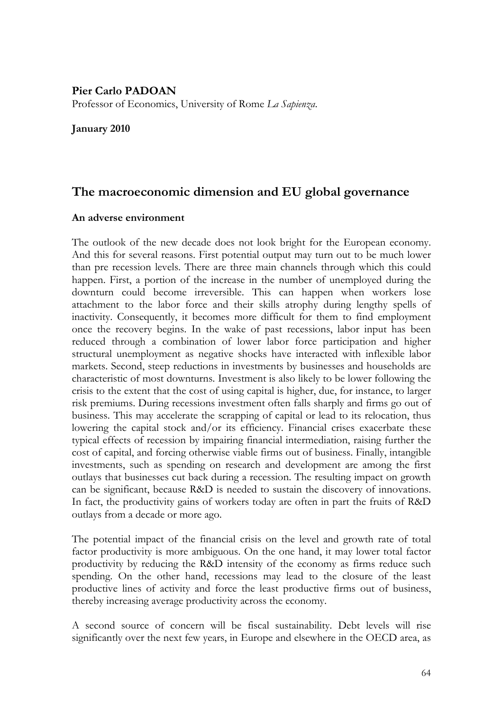#### **Pier Carlo PADOAN**

Professor of Economics, University of Rome *La Sapienza*.

#### **January 2010**

# **The macroeconomic dimension and EU global governance**

#### **An adverse environment**

The outlook of the new decade does not look bright for the European economy. And this for several reasons. First potential output may turn out to be much lower than pre recession levels. There are three main channels through which this could happen. First, a portion of the increase in the number of unemployed during the downturn could become irreversible. This can happen when workers lose attachment to the labor force and their skills atrophy during lengthy spells of inactivity. Consequently, it becomes more difficult for them to find employment once the recovery begins. In the wake of past recessions, labor input has been reduced through a combination of lower labor force participation and higher structural unemployment as negative shocks have interacted with inflexible labor markets. Second, steep reductions in investments by businesses and households are characteristic of most downturns. Investment is also likely to be lower following the crisis to the extent that the cost of using capital is higher, due, for instance, to larger risk premiums. During recessions investment often falls sharply and firms go out of business. This may accelerate the scrapping of capital or lead to its relocation, thus lowering the capital stock and/or its efficiency. Financial crises exacerbate these typical effects of recession by impairing financial intermediation, raising further the cost of capital, and forcing otherwise viable firms out of business. Finally, intangible investments, such as spending on research and development are among the first outlays that businesses cut back during a recession. The resulting impact on growth can be significant, because R&D is needed to sustain the discovery of innovations. In fact, the productivity gains of workers today are often in part the fruits of R&D outlays from a decade or more ago.

The potential impact of the financial crisis on the level and growth rate of total factor productivity is more ambiguous. On the one hand, it may lower total factor productivity by reducing the R&D intensity of the economy as firms reduce such spending. On the other hand, recessions may lead to the closure of the least productive lines of activity and force the least productive firms out of business, thereby increasing average productivity across the economy.

A second source of concern will be fiscal sustainability. Debt levels will rise significantly over the next few years, in Europe and elsewhere in the OECD area, as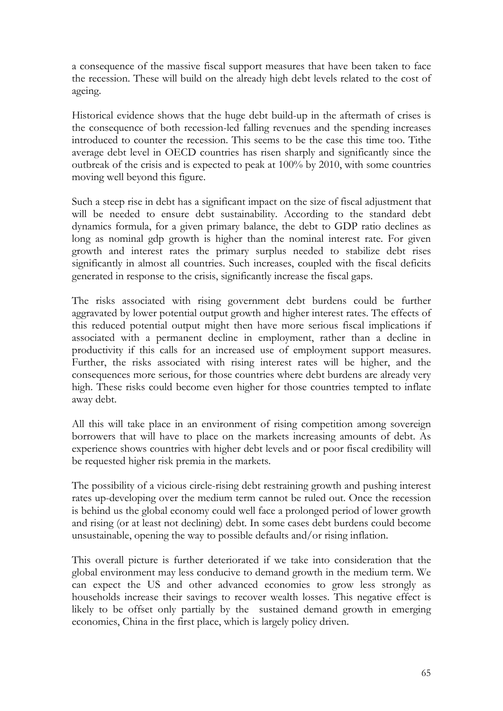a consequence of the massive fiscal support measures that have been taken to face the recession. These will build on the already high debt levels related to the cost of ageing.

Historical evidence shows that the huge debt build-up in the aftermath of crises is the consequence of both recession-led falling revenues and the spending increases introduced to counter the recession. This seems to be the case this time too. Tithe average debt level in OECD countries has risen sharply and significantly since the outbreak of the crisis and is expected to peak at 100% by 2010, with some countries moving well beyond this figure.

Such a steep rise in debt has a significant impact on the size of fiscal adjustment that will be needed to ensure debt sustainability. According to the standard debt dynamics formula, for a given primary balance, the debt to GDP ratio declines as long as nominal gdp growth is higher than the nominal interest rate. For given growth and interest rates the primary surplus needed to stabilize debt rises significantly in almost all countries. Such increases, coupled with the fiscal deficits generated in response to the crisis, significantly increase the fiscal gaps.

The risks associated with rising government debt burdens could be further aggravated by lower potential output growth and higher interest rates. The effects of this reduced potential output might then have more serious fiscal implications if associated with a permanent decline in employment, rather than a decline in productivity if this calls for an increased use of employment support measures. Further, the risks associated with rising interest rates will be higher, and the consequences more serious, for those countries where debt burdens are already very high. These risks could become even higher for those countries tempted to inflate away debt.

All this will take place in an environment of rising competition among sovereign borrowers that will have to place on the markets increasing amounts of debt. As experience shows countries with higher debt levels and or poor fiscal credibility will be requested higher risk premia in the markets.

The possibility of a vicious circle-rising debt restraining growth and pushing interest rates up-developing over the medium term cannot be ruled out. Once the recession is behind us the global economy could well face a prolonged period of lower growth and rising (or at least not declining) debt. In some cases debt burdens could become unsustainable, opening the way to possible defaults and/or rising inflation.

This overall picture is further deteriorated if we take into consideration that the global environment may less conducive to demand growth in the medium term. We can expect the US and other advanced economies to grow less strongly as households increase their savings to recover wealth losses. This negative effect is likely to be offset only partially by the sustained demand growth in emerging economies, China in the first place, which is largely policy driven.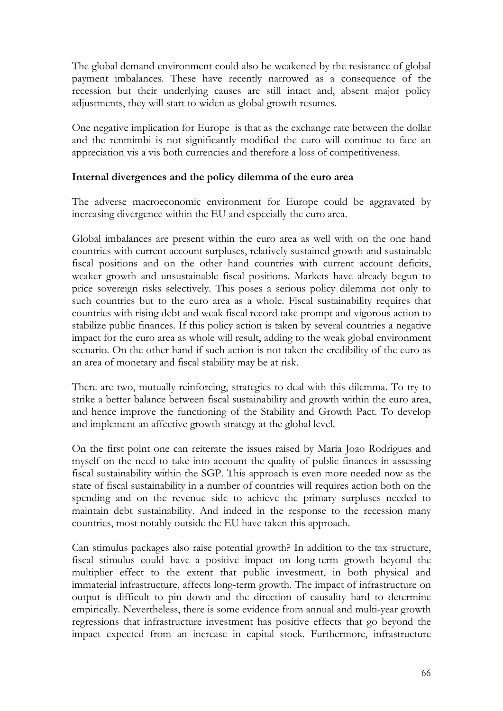The global demand environment could also be weakened by the resistance of global payment imbalances. These have recently narrowed as a consequence of the recession but their underlying causes are still intact and, absent major policy adjustments, they will start to widen as global growth resumes.

One negative implication for Europe is that as the exchange rate between the dollar and the renmimbi is not significantly modified the euro will continue to face an appreciation vis a vis both currencies and therefore a loss of competitiveness.

#### **Internal divergences and the policy dilemma of the euro area**

The adverse macroeconomic environment for Europe could be aggravated by increasing divergence within the EU and especially the euro area.

Global imbalances are present within the euro area as well with on the one hand countries with current account surpluses, relatively sustained growth and sustainable fiscal positions and on the other hand countries with current account deficits, weaker growth and unsustainable fiscal positions. Markets have already begun to price sovereign risks selectively. This poses a serious policy dilemma not only to such countries but to the euro area as a whole. Fiscal sustainability requires that countries with rising debt and weak fiscal record take prompt and vigorous action to stabilize public finances. If this policy action is taken by several countries a negative impact for the euro area as whole will result, adding to the weak global environment scenario. On the other hand if such action is not taken the credibility of the euro as an area of monetary and fiscal stability may be at risk.

There are two, mutually reinforcing, strategies to deal with this dilemma. To try to strike a better balance between fiscal sustainability and growth within the euro area, and hence improve the functioning of the Stability and Growth Pact. To develop and implement an affective growth strategy at the global level.

On the first point one can reiterate the issues raised by Maria Joao Rodrigues and myself on the need to take into account the quality of public finances in assessing fiscal sustainability within the SGP. This approach is even more needed now as the state of fiscal sustainability in a number of countries will requires action both on the spending and on the revenue side to achieve the primary surpluses needed to maintain debt sustainability. And indeed in the response to the recession many countries, most notably outside the EU have taken this approach.

Can stimulus packages also raise potential growth? In addition to the tax structure, fiscal stimulus could have a positive impact on long-term growth beyond the multiplier effect to the extent that public investment, in both physical and immaterial infrastructure, affects long-term growth. The impact of infrastructure on output is difficult to pin down and the direction of causality hard to determine empirically. Nevertheless, there is some evidence from annual and multi-year growth regressions that infrastructure investment has positive effects that go beyond the impact expected from an increase in capital stock. Furthermore, infrastructure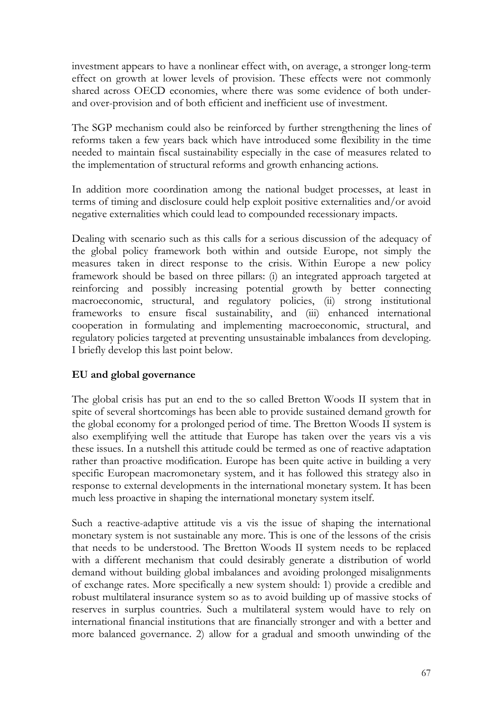investment appears to have a nonlinear effect with, on average, a stronger long-term effect on growth at lower levels of provision. These effects were not commonly shared across OECD economies, where there was some evidence of both underand over-provision and of both efficient and inefficient use of investment.

The SGP mechanism could also be reinforced by further strengthening the lines of reforms taken a few years back which have introduced some flexibility in the time needed to maintain fiscal sustainability especially in the case of measures related to the implementation of structural reforms and growth enhancing actions.

In addition more coordination among the national budget processes, at least in terms of timing and disclosure could help exploit positive externalities and/or avoid negative externalities which could lead to compounded recessionary impacts.

Dealing with scenario such as this calls for a serious discussion of the adequacy of the global policy framework both within and outside Europe, not simply the measures taken in direct response to the crisis. Within Europe a new policy framework should be based on three pillars: (i) an integrated approach targeted at reinforcing and possibly increasing potential growth by better connecting macroeconomic, structural, and regulatory policies, (ii) strong institutional frameworks to ensure fiscal sustainability, and (iii) enhanced international cooperation in formulating and implementing macroeconomic, structural, and regulatory policies targeted at preventing unsustainable imbalances from developing. I briefly develop this last point below.

#### **EU and global governance**

The global crisis has put an end to the so called Bretton Woods II system that in spite of several shortcomings has been able to provide sustained demand growth for the global economy for a prolonged period of time. The Bretton Woods II system is also exemplifying well the attitude that Europe has taken over the years vis a vis these issues. In a nutshell this attitude could be termed as one of reactive adaptation rather than proactive modification. Europe has been quite active in building a very specific European macromonetary system, and it has followed this strategy also in response to external developments in the international monetary system. It has been much less proactive in shaping the international monetary system itself.

Such a reactive-adaptive attitude vis a vis the issue of shaping the international monetary system is not sustainable any more. This is one of the lessons of the crisis that needs to be understood. The Bretton Woods II system needs to be replaced with a different mechanism that could desirably generate a distribution of world demand without building global imbalances and avoiding prolonged misalignments of exchange rates. More specifically a new system should: 1) provide a credible and robust multilateral insurance system so as to avoid building up of massive stocks of reserves in surplus countries. Such a multilateral system would have to rely on international financial institutions that are financially stronger and with a better and more balanced governance. 2) allow for a gradual and smooth unwinding of the